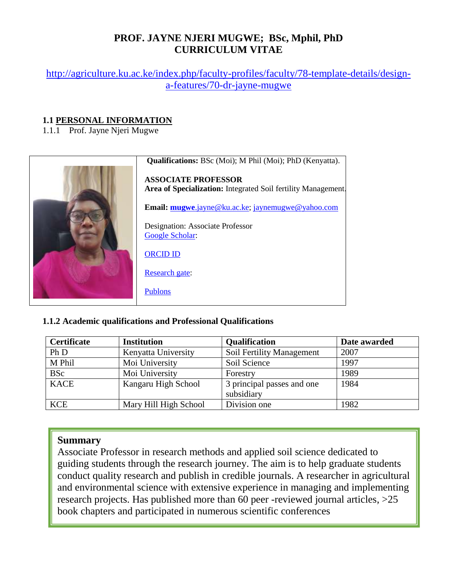# **PROF. JAYNE NJERI MUGWE; BSc, Mphil, PhD CURRICULUM VITAE**

[http://agriculture.ku.ac.ke/index.php/faculty-profiles/faculty/78-template-details/design](http://agriculture.ku.ac.ke/index.php/faculty-profiles/faculty/78-template-details/design-a-features/70-dr-jayne-mugwe)[a-features/70-dr-jayne-mugwe](http://agriculture.ku.ac.ke/index.php/faculty-profiles/faculty/78-template-details/design-a-features/70-dr-jayne-mugwe)

#### **1.1 PERSONAL INFORMATION**

1.1.1 Prof. Jayne Njeri Mugwe



#### **1.1.2 Academic qualifications and Professional Qualifications**

| Certificate | <b>Institution</b>    | <b>Qualification</b>       | Date awarded |
|-------------|-----------------------|----------------------------|--------------|
| Ph D        | Kenyatta University   | Soil Fertility Management  | 2007         |
| M Phil      | Moi University        | Soil Science               | 1997         |
| <b>BSc</b>  | Moi University        | Forestry                   | 1989         |
| <b>KACE</b> | Kangaru High School   | 3 principal passes and one | 1984         |
|             |                       | subsidiary                 |              |
| <b>KCE</b>  | Mary Hill High School | Division one               | 1982         |

### **Summary**

Associate Professor in research methods and applied soil science dedicated to guiding students through the research journey. The aim is to help graduate students conduct quality research and publish in credible journals. A researcher in agricultural and environmental science with extensive experience in managing and implementing research projects. Has published more than 60 peer -reviewed journal articles, >25 book chapters and participated in numerous scientific conferences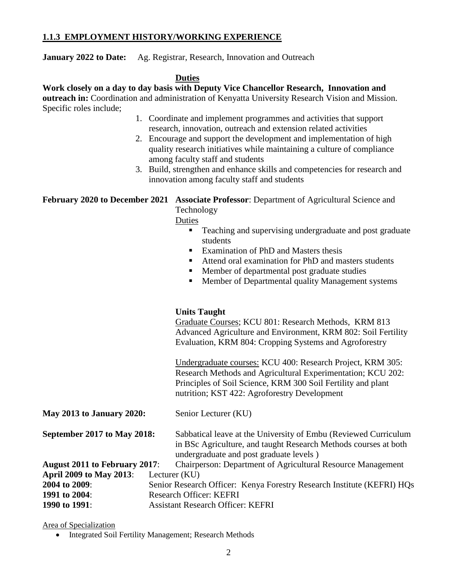#### **1.1.3 EMPLOYMENT HISTORY/WORKING EXPERIENCE**

**January 2022 to Date:** Ag. Registrar, Research, Innovation and Outreach

#### **Duties**

**Work closely on a day to day basis with Deputy Vice Chancellor Research, Innovation and outreach in:** Coordination and administration of Kenyatta University Research Vision and Mission. Specific roles include;

- 1. Coordinate and implement programmes and activities that support research, innovation, outreach and extension related activities
- 2. Encourage and support the development and implementation of high quality research initiatives while maintaining a culture of compliance among faculty staff and students
- 3. Build, strengthen and enhance skills and competencies for research and innovation among faculty staff and students

**February 2020 to December 2021 Associate Professor**: Department of Agricultural Science and

Technology

Duties

- **Teaching and supervising undergraduate and post graduate** students
- Examination of PhD and Masters thesis
- Attend oral examination for PhD and masters students
- **Member of departmental post graduate studies**
- **Member of Departmental quality Management systems**

#### **Units Taught**

Graduate Courses; KCU 801: Research Methods, KRM 813 Advanced Agriculture and Environment, KRM 802: Soil Fertility Evaluation, KRM 804: Cropping Systems and Agroforestry

Undergraduate courses: KCU 400: Research Project, KRM 305: Research Methods and Agricultural Experimentation; KCU 202: Principles of Soil Science, KRM 300 Soil Fertility and plant nutrition; KST 422: Agroforestry Development

| <b>May 2013 to January 2020:</b> | Senior Lecturer (KU)                                            |
|----------------------------------|-----------------------------------------------------------------|
| September 2017 to May 2018:      | Sabbatical leave at the University of Embu (Reviewed Curriculum |

in BSc Agriculture, and taught Research Methods courses at both undergraduate and post graduate levels )

| August 2011 to February 2017:  | Chairperson: Department of Agricultural Resource Management            |
|--------------------------------|------------------------------------------------------------------------|
| <b>April 2009 to May 2013:</b> | Lecturer (KU)                                                          |
| 2004 to 2009:                  | Senior Research Officer: Kenya Forestry Research Institute (KEFRI) HQs |
| 1991 to 2004:                  | Research Officer: KEFRI                                                |
| 1990 to 1991:                  | <b>Assistant Research Officer: KEFRI</b>                               |

Area of Specialization

• Integrated Soil Fertility Management; Research Methods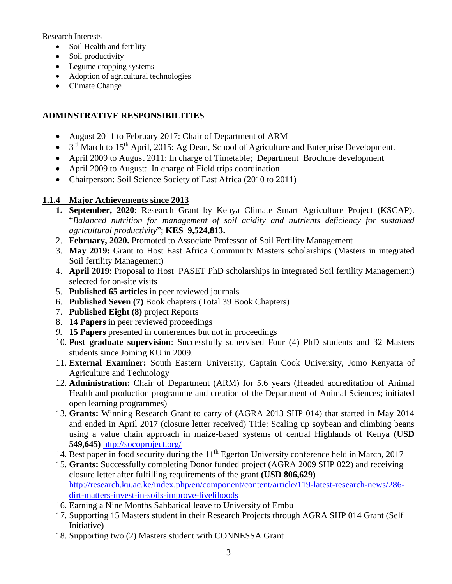Research Interests

- Soil Health and fertility
- Soil productivity
- Legume cropping systems
- Adoption of agricultural technologies
- Climate Change

# **ADMINSTRATIVE RESPONSIBILITIES**

- August 2011 to February 2017: Chair of Department of ARM
- 3<sup>rd</sup> March to 15<sup>th</sup> April, 2015: Ag Dean, School of Agriculture and Enterprise Development.
- April 2009 to August 2011: In charge of Timetable; Department Brochure development
- April 2009 to August: In charge of Field trips coordination
- Chairperson: Soil Science Society of East Africa (2010 to 2011)

## **1.1.4 Major Achievements since 2013**

- **1. September, 2020**: Research Grant by Kenya Climate Smart Agriculture Project (KSCAP). "*Balanced nutrition for management of soil acidity and nutrients deficiency for sustained agricultural productivity*"; **KES 9,524,813.**
- 2. **February, 2020.** Promoted to Associate Professor of Soil Fertility Management
- 3. **May 2019:** Grant to Host East Africa Community Masters scholarships (Masters in integrated Soil fertility Management)
- 4. **April 2019**: Proposal to Host PASET PhD scholarships in integrated Soil fertility Management) selected for on-site visits
- 5. **Published 65 articles** in peer reviewed journals
- 6. **Published Seven (7)** Book chapters (Total 39 Book Chapters)
- 7. **Published Eight (8)** project Reports
- 8. **14 Papers** in peer reviewed proceedings
- *9.* **15 Papers** presented in conferences but not in proceedings
- 10. **Post graduate supervision**: Successfully supervised Four (4) PhD students and 32 Masters students since Joining KU in 2009.
- 11. **External Examiner:** South Eastern University, Captain Cook University, Jomo Kenyatta of Agriculture and Technology
- 12. **Administration:** Chair of Department (ARM) for 5.6 years (Headed accreditation of Animal Health and production programme and creation of the Department of Animal Sciences; initiated open learning programmes)
- 13. **Grants:** Winning Research Grant to carry of (AGRA 2013 SHP 014) that started in May 2014 and ended in April 2017 (closure letter received) Title: Scaling up soybean and climbing beans using a value chain approach in maize-based systems of central Highlands of Kenya **(USD 549,645)** <http://socoproject.org/>
- 14. Best paper in food security during the 11<sup>th</sup> Egerton University conference held in March, 2017
- 15. **Grants:** Successfully completing Donor funded project (AGRA 2009 SHP 022) and receiving closure letter after fulfilling requirements of the grant **(USD 806,629)** [http://research.ku.ac.ke/index.php/en/component/content/article/119-latest-research-news/286](http://research.ku.ac.ke/index.php/en/component/content/article/119-latest-research-news/286-dirt-matters-invest-in-soils-improve-livelihoods) [dirt-matters-invest-in-soils-improve-livelihoods](http://research.ku.ac.ke/index.php/en/component/content/article/119-latest-research-news/286-dirt-matters-invest-in-soils-improve-livelihoods)
- 16. Earning a Nine Months Sabbatical leave to University of Embu
- 17. Supporting 15 Masters student in their Research Projects through AGRA SHP 014 Grant (Self Initiative)
- 18. Supporting two (2) Masters student with CONNESSA Grant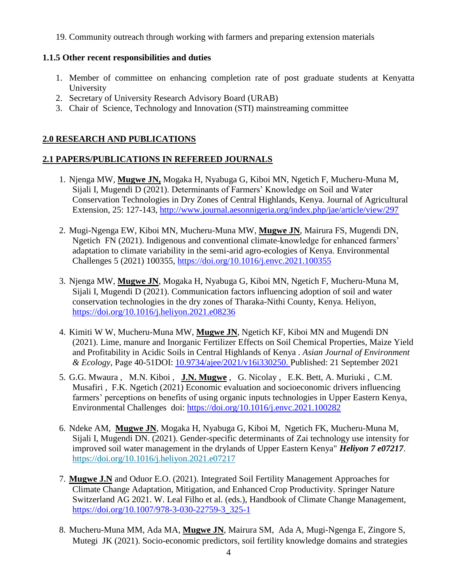19. Community outreach through working with farmers and preparing extension materials

### **1.1.5 Other recent responsibilities and duties**

- 1. Member of committee on enhancing completion rate of post graduate students at Kenyatta University
- 2. Secretary of University Research Advisory Board (URAB)
- 3. Chair of Science, Technology and Innovation (STI) mainstreaming committee

### **2.0 RESEARCH AND PUBLICATIONS**

### **2.1 PAPERS/PUBLICATIONS IN REFEREED JOURNALS**

- 1. Njenga MW, **Mugwe JN,** Mogaka H, Nyabuga G, Kiboi MN, Ngetich F, Mucheru-Muna M, Sijali I, Mugendi D (2021). Determinants of Farmers' Knowledge on Soil and Water Conservation Technologies in Dry Zones of Central Highlands, Kenya. Journal of Agricultural Extension, 25: 127-143,<http://www.journal.aesonnigeria.org/index.php/jae/article/view/297>
- 2. Mugi-Ngenga EW, Kiboi MN, Mucheru-Muna MW, **Mugwe JN**, Mairura FS, Mugendi DN, Ngetich FN (2021). Indigenous and conventional climate-knowledge for enhanced farmers' adaptation to climate variability in the semi-arid agro-ecologies of Kenya. Environmental Challenges 5 (2021) 100355,<https://doi.org/10.1016/j.envc.2021.100355>
- 3. Njenga MW, **Mugwe JN**, Mogaka H, Nyabuga G, Kiboi MN, Ngetich F, Mucheru-Muna M, Sijali I, Mugendi D (2021). Communication factors influencing adoption of soil and water conservation technologies in the dry zones of Tharaka-Nithi County, Kenya. Heliyon, <https://doi.org/10.1016/j.heliyon.2021.e08236>
- 4. Kimiti W W, Mucheru-Muna MW, **Mugwe JN**, Ngetich KF, Kiboi MN and Mugendi DN (2021). Lime, manure and Inorganic Fertilizer Effects on Soil Chemical Properties, Maize Yield and Profitability in Acidic Soils in Central Highlands of Kenya . *Asian Journal of Environment & Ecology*, Page 40-51DOI: [10.9734/ajee/2021/v16i330250. P](https://doi.org/10.9734/ajee/2021/v16i330250)ublished: 21 September 2021
- 5. G.G. Mwaura , M.N. Kiboi , **J.N. Mugwe** , G. Nicolay , E.K. Bett, A. Muriuki , C.M. Musafiri , F.K. Ngetich (2021) Economic evaluation and socioeconomic drivers influencing farmers' perceptions on benefits of using organic inputs technologies in Upper Eastern Kenya, Environmental Challenges doi:<https://doi.org/10.1016/j.envc.2021.100282>
- 6. Ndeke AM, **Mugwe JN**, Mogaka H, Nyabuga G, Kiboi M, Ngetich FK, Mucheru-Muna M, Sijali I, Mugendi DN. (2021). Gender-specific determinants of Zai technology use intensity for improved soil water management in the drylands of Upper Eastern Kenya" *Heliyon 7 e07217*. <https://doi.org/10.1016/j.heliyon.2021.e07217>
- 7. **Mugwe J.N** and Oduor E.O. (2021). Integrated Soil Fertility Management Approaches for Climate Change Adaptation, Mitigation, and Enhanced Crop Productivity. Springer Nature Switzerland AG 2021. W. Leal Filho et al. (eds.), Handbook of Climate Change Management, [https://doi.org/10.1007/978-3-030-22759-3\\_325-1](https://doi.org/10.1007/978-3-030-22759-3_325-1)
- 8. Mucheru-Muna MM, Ada MA, **Mugwe JN**, Mairura SM, Ada A, Mugi-Ngenga E, Zingore S, Mutegi JK (2021). Socio-economic predictors, soil fertility knowledge domains and strategies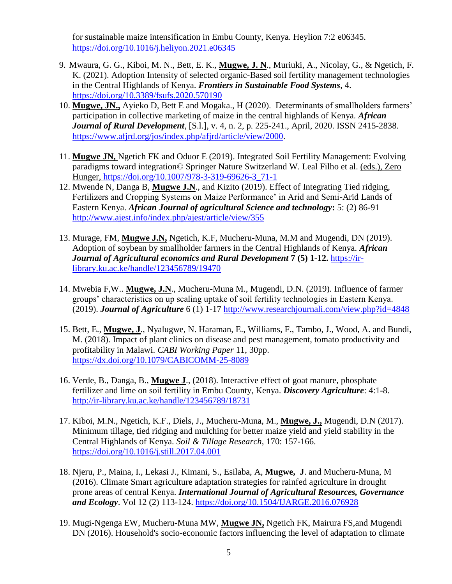for sustainable maize intensification in Embu County, Kenya. Heylion 7:2 e06345. <https://doi.org/10.1016/j.heliyon.2021.e06345>

- 9. Mwaura, G. G., Kiboi, M. N., Bett, E. K., **Mugwe, J. N**., Muriuki, A., Nicolay, G., & Ngetich, F. K. (2021). Adoption Intensity of selected organic-Based soil fertility management technologies in the Central Highlands of Kenya. *Frontiers in Sustainable Food Systems*, 4. <https://doi.org/10.3389/fsufs.2020.570190>
- 10. **Mugwe, JN.,** Ayieko D, Bett E and Mogaka., H (2020). Determinants of smallholders farmers' participation in collective marketing of maize in the central highlands of Kenya. *African Journal of Rural Development*, [S.l.], v. 4, n. 2, p. 225-241., April, 2020. ISSN 2415-2838. [https://www.afjrd.org/jos/index.php/afjrd/article/view/2000.](https://www.afjrd.org/jos/index.php/afjrd/article/view/2000)
- 11. **Mugwe JN,** Ngetich FK and Oduor E (2019). Integrated Soil Fertility Management: Evolving paradigms toward integration© Springer Nature Switzerland W. Leal Filho et al. (eds.), Zero Hunger, https://doi.org/10.1007/978-3-319-69626-3\_71-1
- 12. Mwende N, Danga B, **Mugwe J.N**., and Kizito (2019). Effect of Integrating Tied ridging, Fertilizers and Cropping Systems on Maize Performance' in Arid and Semi-Arid Lands of Eastern Kenya. *African Journal of agricultural Science and technology***:** 5: (2) 86-91 <http://www.ajest.info/index.php/ajest/article/view/355>
- 13. Murage, FM, **Mugwe J.N,** Ngetich, K.F, Mucheru-Muna, M.M and Mugendi, DN (2019). Adoption of soybean by smallholder farmers in the Central Highlands of Kenya. *African Journal of Agricultural economics and Rural Development* **7 (5) 1-12.** [https://ir](https://ir-library.ku.ac.ke/handle/123456789/19470)[library.ku.ac.ke/handle/123456789/19470](https://ir-library.ku.ac.ke/handle/123456789/19470)
- 14. Mwebia F,W.. **Mugwe, J.N**., Mucheru-Muna M., Mugendi, D.N. (2019). Influence of farmer groups' characteristics on up scaling uptake of soil fertility technologies in Eastern Kenya. (2019). *Journal of Agriculture* 6 (1) 1-17<http://www.researchjournali.com/view.php?id=4848>
- 15. Bett, E., **Mugwe, J**., Nyalugwe, N. Haraman, E., Williams, F., Tambo, J., Wood, A. and Bundi, M. (2018). Impact of plant clinics on disease and pest management, tomato productivity and profitability in Malawi. *CABI Working Paper* 11, 30pp. <https://dx.doi.org/10.1079/CABICOMM-25-8089>
- 16. Verde, B., Danga, B., **Mugwe J**., (2018). Interactive effect of goat manure, phosphate fertilizer and lime on soil fertility in Embu County, Kenya. *Discovery Agriculture*: 4:1-8. <http://ir-library.ku.ac.ke/handle/123456789/18731>
- 17. Kiboi, M.N., Ngetich, K.F., Diels, J., Mucheru-Muna, M., **Mugwe, J.,** Mugendi, D.N (2017). Minimum tillage, tied ridging and mulching for better maize yield and yield stability in the Central Highlands of Kenya. *Soil & Tillage Research*, 170: 157-166. <https://doi.org/10.1016/j.still.2017.04.001>
- 18. Njeru, P., Maina, I., Lekasi J., Kimani, S., Esilaba, A, **Mugwe, J**. and Mucheru-Muna, M (2016). Climate Smart agriculture adaptation strategies for rainfed agriculture in drought prone areas of central Kenya. *International Journal of Agricultural Resources, Governance and Ecology*. Vol 12 (2) 113-124.<https://doi.org/10.1504/IJARGE.2016.076928>
- 19. Mugi-Ngenga EW, Mucheru-Muna MW, **Mugwe JN,** Ngetich FK, Mairura FS,and Mugendi DN (2016). Household's socio-economic factors influencing the level of adaptation to climate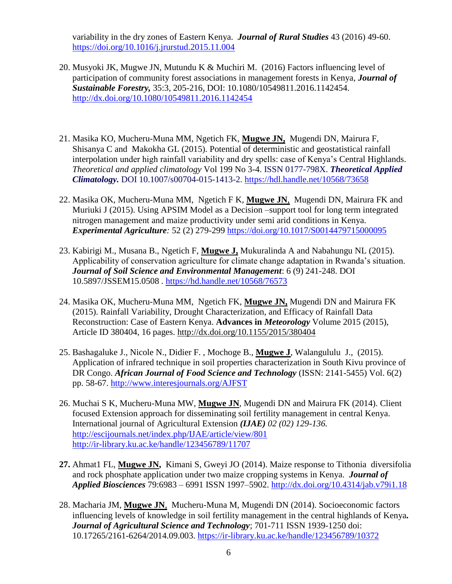variability in the dry zones of Eastern Kenya. *Journal of Rural Studies* 43 (2016) 49-60. <https://doi.org/10.1016/j.jrurstud.2015.11.004>

- 20. Musyoki JK, Mugwe JN, Mutundu K & Muchiri M. (2016) Factors influencing level of participation of community forest associations in management forests in Kenya, *Journal of Sustainable Forestry,* 35:3, 205-216, DOI: 10.1080/10549811.2016.1142454. <http://dx.doi.org/10.1080/10549811.2016.1142454>
- 21. Masika KO, Mucheru-Muna MM, Ngetich FK, **Mugwe JN,** Mugendi DN, Mairura F, Shisanya C and Makokha GL (2015). Potential of deterministic and geostatistical rainfall interpolation under high rainfall variability and dry spells: case of Kenya's Central Highlands. *Theoretical and applied climatology* Vol 199 No 3-4. ISSN 0177-798X. *Theoretical Applied Climatology.* DOI 10.1007/s00704-015-1413-2.<https://hdl.handle.net/10568/73658>
- 22. Masika OK, Mucheru-Muna MM, Ngetich F K, **Mugwe JN**, Mugendi DN, Mairura FK and Muriuki J (2015). Using APSIM Model as a Decision –support tool for long term integrated nitrogen management and maize productivity under semi arid conditions in Kenya. *Experimental Agriculture:* 52 (2) 279-299<https://doi.org/10.1017/S0014479715000095>
- 23. Kabirigi M., Musana B., Ngetich F, **Mugwe J,** Mukuralinda A and Nabahungu NL (2015). Applicability of conservation agriculture for climate change adaptation in Rwanda's situation. *Journal of Soil Science and Environmental Management*: 6 (9) 241-248. DOI 10.5897/JSSEM15.0508 .<https://hd.handle.net/10568/76573>
- 24. Masika OK, Mucheru-Muna MM, Ngetich FK, **Mugwe JN,** Mugendi DN and Mairura FK (2015). Rainfall Variability, Drought Characterization, and Efficacy of Rainfall Data Reconstruction: Case of Eastern Kenya. **Advances in** *Meteorology* Volume 2015 (2015), Article ID 380404, 16 pages.<http://dx.doi.org/10.1155/2015/380404>
- 25. Bashagaluke J., Nicole N., Didier F. , Mochoge B., **Mugwe J**, Walangululu J., (2015). Application of infrared technique in soil properties characterization in South Kivu province of DR Congo. *African Journal of Food Science and Technology* (ISSN: 2141-5455) Vol. 6(2) pp. 58-67.<http://www.interesjournals.org/AJFST>
- 26. Muchai S K, Mucheru-Muna MW, **Mugwe JN**, Mugendi DN and Mairura FK (2014). Client focused Extension approach for disseminating soil fertility management in central Kenya. International journal of Agricultural Extension *(IJAE) 02 (02) 129-136.*  <http://escijournals.net/index.php/IJAE/article/view/801> <http://ir-library.ku.ac.ke/handle/123456789/11707>
- **27.** Ahmat1 FL, **Mugwe JN,** Kimani S, Gweyi JO (2014). Maize response to Tithonia diversifolia and rock phosphate application under two maize cropping systems in Kenya. *Journal of Applied Biosciences* 79:6983 – 6991 ISSN 1997–5902.<http://dx.doi.org/10.4314/jab.v79i1.18>
- 28. Macharia JM, **Mugwe JN**, Mucheru-Muna M, Mugendi DN (2014). Socioeconomic factors influencing levels of knowledge in soil fertility management in the central highlands of Kenya*. Journal of Agricultural Science and Technology*; 701-711 ISSN 1939-1250 doi: 10.17265/2161-6264/2014.09.003.<https://ir-library.ku.ac.ke/handle/123456789/10372>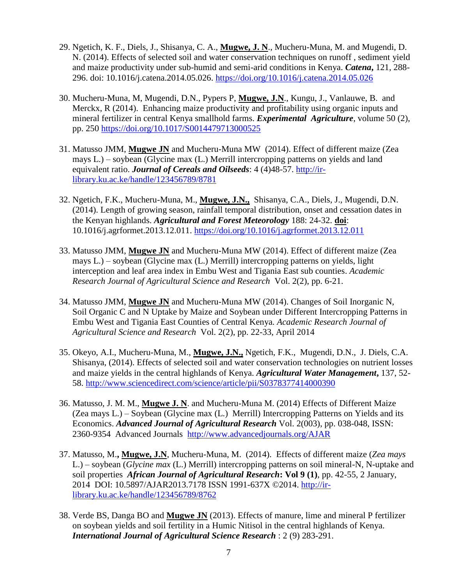- 29. Ngetich, K. F., Diels, J., Shisanya, C. A., **Mugwe, J. N**., Mucheru-Muna, M. and Mugendi, D. N. (2014). Effects of selected soil and water conservation techniques on runoff , sediment yield and maize productivity under sub-humid and semi-arid conditions in Kenya. *Catena***,** 121, 288- 296. doi: 10.1016/j.catena.2014.05.026.<https://doi.org/10.1016/j.catena.2014.05.026>
- 30. Mucheru-Muna, M, Mugendi, D.N., Pypers P, **Mugwe, J.N**., Kungu, J., Vanlauwe, B. and Merckx, R (2014). Enhancing maize productivity and profitability using organic inputs and mineral fertilizer in central Kenya smallhold farms. *Experimental Agriculture*, volume 50 (2), pp. 250 <https://doi.org/10.1017/S0014479713000525>
- 31. Matusso JMM, **Mugwe JN** and Mucheru-Muna MW (2014). Effect of different maize (Zea mays L.) – soybean (Glycine max (L.) Merrill intercropping patterns on yields and land equivalent ratio. *Journal of Cereals and Oilseeds*: 4 (4)48-57. [http://ir](http://ir-library.ku.ac.ke/handle/123456789/8781)[library.ku.ac.ke/handle/123456789/8781](http://ir-library.ku.ac.ke/handle/123456789/8781)
- 32. Ngetich, F.K., Mucheru-Muna, M., **Mugwe, J.N.,** Shisanya, C.A., Diels, J., Mugendi, D.N. (2014). Length of growing season, rainfall temporal distribution, onset and cessation dates in the Kenyan highlands. *Agricultural and Forest Meteorology* 188: 24-32. **doi**: 10.1016/j.agrformet.2013.12.011.<https://doi.org/10.1016/j.agrformet.2013.12.011>
- 33. Matusso JMM, **Mugwe JN** and Mucheru-Muna MW (2014). Effect of different maize (Zea mays L.) – soybean (Glycine max (L.) Merrill) intercropping patterns on yields, light interception and leaf area index in Embu West and Tigania East sub counties. *Academic Research Journal of Agricultural Science and Research* Vol. 2(2), pp. 6-21.
- 34. Matusso JMM, **Mugwe JN** and Mucheru-Muna MW (2014). Changes of Soil Inorganic N, Soil Organic C and N Uptake by Maize and Soybean under Different Intercropping Patterns in Embu West and Tigania East Counties of Central Kenya. *Academic Research Journal of Agricultural Science and Research* Vol. 2(2), pp. 22-33, April 2014
- 35. Okeyo, A.I., Mucheru-Muna, M., **Mugwe, J.N.,** Ngetich, F.K., Mugendi, D.N., J. Diels, C.A. Shisanya, (2014). Effects of selected soil and water conservation technologies on nutrient losses and maize yields in the central highlands of Kenya. *Agricultural Water Management***,** 137, 52- 58. [http://www.sciencedirect.com/science/article/pii/S0378377414000390](https://econpapers.repec.org/scripts/redir.pf?u=http%3A%2F%2Fwww.sciencedirect.com%2Fscience%2Farticle%2Fpii%2FS0378377414000390;h=repec:eee:agiwat:v:137:y:2014:i:c:p:52-58)
- 36. Matusso, J. M. M., **Mugwe J. N**. and Mucheru-Muna M. (2014) Effects of Different Maize (Zea mays L.) – Soybean (Glycine max (L.) Merrill) Intercropping Patterns on Yields and its Economics. *Advanced Journal of Agricultural Research* Vol. 2(003), pp. 038-048, ISSN: 2360-9354 Advanced Journals <http://www.advancedjournals.org/AJAR>
- 37. Matusso, M.**, Mugwe, J.N**, Mucheru-Muna, M. (2014). Effects of different maize (*Zea mays*  L.) – soybean (*Glycine max* (L.) Merrill) intercropping patterns on soil mineral-N, N-uptake and soil properties *African Journal of Agricultural Research***: Vol 9 (1)**, pp. 42-55, 2 January, 2014 DOI: 10.5897/AJAR2013.7178 ISSN 1991-637X ©2014. [http://ir](http://ir-library.ku.ac.ke/handle/123456789/8762)[library.ku.ac.ke/handle/123456789/8762](http://ir-library.ku.ac.ke/handle/123456789/8762)
- 38. Verde BS, Danga BO and **Mugwe JN** (2013). Effects of manure, lime and mineral P fertilizer on soybean yields and soil fertility in a Humic Nitisol in the central highlands of Kenya. *International Journal of Agricultural Science Research* : 2 (9) 283-291.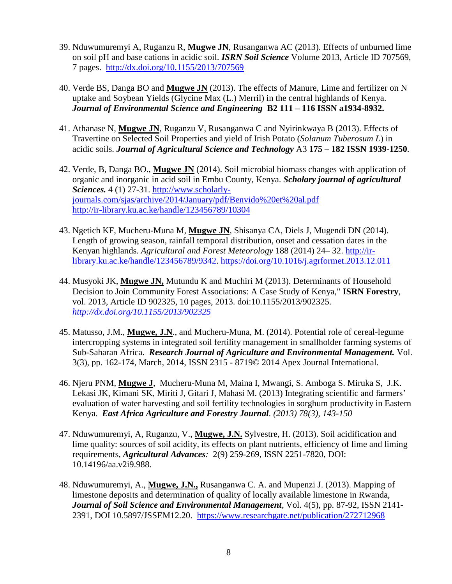- 39. Nduwumuremyi A, Ruganzu R, **Mugwe JN**, Rusanganwa AC (2013). Effects of unburned lime on soil pH and base cations in acidic soil. *ISRN Soil Science* Volume 2013, Article ID 707569, 7 pages. <http://dx.doi.org/10.1155/2013/707569>
- 40. Verde BS, Danga BO and **Mugwe JN** (2013). The effects of Manure, Lime and fertilizer on N uptake and Soybean Yields (Glycine Max (L.) Merril) in the central highlands of Kenya. *Journal of Environmental Science and Engineering* **B2 111 – 116 ISSN a1934-8932.**
- 41. Athanase N, **Mugwe JN**, Ruganzu V, Rusanganwa C and Nyirinkwaya B (2013). Effects of Travertine on Selected Soil Properties and yield of Irish Potato (*Solanum Tuberosum L*) in acidic soils. *Journal of Agricultural Science and Technology* A3 **175 – 182 ISSN 1939-1250**.
- 42. Verde, B, Danga BO., **Mugwe JN** (2014). Soil microbial biomass changes with application of organic and inorganic in acid soil in Embu County, Kenya. *Scholary journal of agricultural Sciences.* 4 (1) 27-31. http://www.scholarlyjournals.com/sjas/archive/2014/January/pdf/Benvido%20et%20al.pdf <http://ir-library.ku.ac.ke/handle/123456789/10304>
- 43. Ngetich KF, Mucheru-Muna M, **Mugwe JN**, Shisanya CA, Diels J, Mugendi DN (2014). Length of growing season, rainfall temporal distribution, onset and cessation dates in the Kenyan highlands. *Agricultural and Forest Meteorology* 188 (2014) 24– 32. [http://ir](http://ir-library.ku.ac.ke/handle/123456789/9342)[library.ku.ac.ke/handle/123456789/9342.](http://ir-library.ku.ac.ke/handle/123456789/9342)<https://doi.org/10.1016/j.agrformet.2013.12.011>
- 44. Musyoki JK, **Mugwe JN,** Mutundu K and Muchiri M (2013). Determinants of Household Decision to Join Community Forest Associations: A Case Study of Kenya," **ISRN Forestry**, vol. 2013, Article ID 902325, 10 pages, 2013. doi:10.1155/2013/902325. *<http://dx.doi.org/10.1155/2013/902325>*
- 45. Matusso, J.M., **Mugwe, J.N**., and Mucheru-Muna, M. (2014). Potential role of cereal-legume intercropping systems in integrated soil fertility management in smallholder farming systems of Sub-Saharan Africa. *Research Journal of Agriculture and Environmental Management.* Vol. 3(3), pp. 162-174, March, 2014, ISSN 2315 - 8719© 2014 Apex Journal International.
- 46. Njeru PNM, **Mugwe J**, Mucheru-Muna M, Maina I, Mwangi, S. Amboga S. Miruka S, J.K. Lekasi JK, Kimani SK, Miriti J, Gitari J, Mahasi M. (2013) Integrating scientific and farmers' evaluation of water harvesting and soil fertility technologies in sorghum productivity in Eastern Kenya. *East Africa Agriculture and Forestry Journal. (2013) 78(3), 143-150*
- 47. Nduwumuremyi, A, Ruganzu, V., **Mugwe, J.N.** Sylvestre, H. (2013). Soil acidification and lime quality: sources of soil acidity, its effects on plant nutrients, efficiency of lime and liming requirements, *Agricultural Advances:* 2(9) 259-269, ISSN 2251-7820, DOI: 10.14196/aa.v2i9.988.
- 48. Nduwumuremyi, A., **Mugwe, J.N.,** Rusanganwa C. A. and Mupenzi J. (2013). Mapping of limestone deposits and determination of quality of locally available limestone in Rwanda, *Journal of Soil Science and Environmental Management*, Vol. 4(5), pp. 87-92, ISSN 2141- 2391, DOI 10.5897/JSSEM12.20. <https://www.researchgate.net/publication/272712968>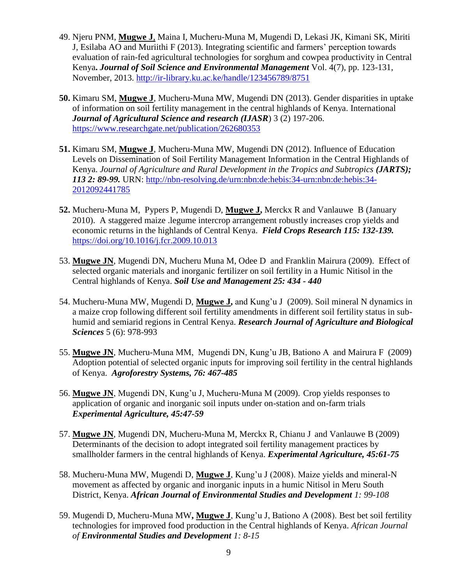- 49. Njeru PNM, **Mugwe J**, Maina I, Mucheru-Muna M, Mugendi D, Lekasi JK, Kimani SK, Miriti J, Esilaba AO and Muriithi F (2013). Integrating scientific and farmers' perception towards evaluation of rain-fed agricultural technologies for sorghum and cowpea productivity in Central Kenya**.** *Journal of Soil Science and Environmental Management* Vol. 4(7), pp. 123-131, November, 2013. <http://ir-library.ku.ac.ke/handle/123456789/8751>
- **50.** Kimaru SM, **Mugwe J**, Mucheru-Muna MW, Mugendi DN (2013). Gender disparities in uptake of information on soil fertility management in the central highlands of Kenya. International *Journal of Agricultural Science and research (IJASR*) 3 (2) 197-206. <https://www.researchgate.net/publication/262680353>
- **51.** Kimaru SM, **Mugwe J**, Mucheru-Muna MW, Mugendi DN (2012). Influence of Education Levels on Dissemination of Soil Fertility Management Information in the Central Highlands of Kenya. *Journal of Agriculture and Rural Development in the Tropics and Subtropics (JARTS); 113 2: 89-99.* URN: [http://nbn-resolving.de/urn:nbn:de:hebis:34-urn:nbn:de:hebis:34-](http://nbn-resolving.de/urn:nbn:de:hebis:34-urn:nbn:de:hebis:34-2012092441785) [2012092441785](http://nbn-resolving.de/urn:nbn:de:hebis:34-urn:nbn:de:hebis:34-2012092441785)
- **52.** Mucheru-Muna M, Pypers P, Mugendi D, **Mugwe J,** Merckx R and Vanlauwe B (January 2010). A staggered maize .legume intercrop arrangement robustly increases crop yields and economic returns in the highlands of Central Kenya. *Field Crops Research 115: 132-139.*  <https://doi.org/10.1016/j.fcr.2009.10.013>
- 53. **Mugwe JN**, Mugendi DN, Mucheru Muna M, Odee D and Franklin Mairura (2009). Effect of selected organic materials and inorganic fertilizer on soil fertility in a Humic Nitisol in the Central highlands of Kenya. *Soil Use and Management 25: 434 - 440*
- 54. Mucheru-Muna MW, Mugendi D, **Mugwe J,** and Kung'u J (2009). Soil mineral N dynamics in a maize crop following different soil fertility amendments in different soil fertility status in subhumid and semiarid regions in Central Kenya. *Research Journal of Agriculture and Biological Sciences* 5 (6): 978-993
- 55. **Mugwe JN**, Mucheru-Muna MM, Mugendi DN, Kung'u JB, Bationo A and Mairura F (2009) Adoption potential of selected organic inputs for improving soil fertility in the central highlands of Kenya. *Agroforestry Systems, 76: 467-485*
- 56. **Mugwe JN**, Mugendi DN, Kung'u J, Mucheru-Muna M (2009). Crop yields responses to application of organic and inorganic soil inputs under on-station and on-farm trials *Experimental Agriculture, 45:47-59*
- 57. **Mugwe JN**, Mugendi DN, Mucheru-Muna M, Merckx R, Chianu J and Vanlauwe B (2009) Determinants of the decision to adopt integrated soil fertility management practices by smallholder farmers in the central highlands of Kenya. *Experimental Agriculture, 45:61-75*
- 58. Mucheru-Muna MW, Mugendi D, **Mugwe J**, Kung'u J (2008). Maize yields and mineral-N movement as affected by organic and inorganic inputs in a humic Nitisol in Meru South District, Kenya. *African Journal of Environmental Studies and Development 1: 99-108*
- 59. Mugendi D, Mucheru-Muna MW**, Mugwe J**, Kung'u J, Bationo A (2008). Best bet soil fertility technologies for improved food production in the Central highlands of Kenya. *African Journal of Environmental Studies and Development 1: 8-15*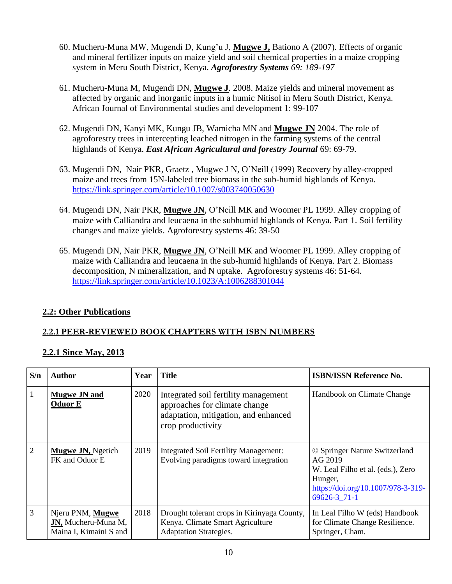- 60. Mucheru-Muna MW, Mugendi D, Kung'u J, **Mugwe J,** Bationo A (2007). Effects of organic and mineral fertilizer inputs on maize yield and soil chemical properties in a maize cropping system in Meru South District, Kenya. *Agroforestry Systems 69: 189-197*
- 61. Mucheru-Muna M, Mugendi DN, **Mugwe J**. 2008. Maize yields and mineral movement as affected by organic and inorganic inputs in a humic Nitisol in Meru South District, Kenya. African Journal of Environmental studies and development 1: 99-107
- 62. Mugendi DN, Kanyi MK, Kungu JB, Wamicha MN and **Mugwe JN** 2004. The role of agroforestry trees in intercepting leached nitrogen in the farming systems of the central highlands of Kenya. *East African Agricultural and forestry Journal* 69: 69-79.
- 63. Mugendi DN, Nair PKR, Graetz , Mugwe J N, O'Neill (1999) Recovery by alley-cropped maize and trees from 15N-labeled tree biomass in the sub-humid highlands of Kenya. <https://link.springer.com/article/10.1007/s003740050630>
- 64. Mugendi DN, Nair PKR, **Mugwe JN**, O'Neill MK and Woomer PL 1999. Alley cropping of maize with Calliandra and leucaena in the subhumid highlands of Kenya. Part 1. Soil fertility changes and maize yields. Agroforestry systems 46: 39-50
- 65. Mugendi DN, Nair PKR, **Mugwe JN**, O'Neill MK and Woomer PL 1999. Alley cropping of maize with Calliandra and leucaena in the sub-humid highlands of Kenya. Part 2. Biomass decomposition, N mineralization, and N uptake. Agroforestry systems 46: 51-64. <https://link.springer.com/article/10.1023/A:1006288301044>

### **2.2: Other Publications**

### **2.2.1 PEER-REVIEWED BOOK CHAPTERS WITH ISBN NUMBERS**

### **2.2.1 Since May, 2013**

| S/n | Author                                                            | Year | Title                                                                                                                              | <b>ISBN/ISSN Reference No.</b>                                                                                                                 |
|-----|-------------------------------------------------------------------|------|------------------------------------------------------------------------------------------------------------------------------------|------------------------------------------------------------------------------------------------------------------------------------------------|
|     | <b>Mugwe JN and</b><br><b>Oduor E</b>                             | 2020 | Integrated soil fertility management<br>approaches for climate change<br>adaptation, mitigation, and enhanced<br>crop productivity | Handbook on Climate Change                                                                                                                     |
| 2   | <b>Mugwe JN, Ngetich</b><br>FK and Oduor E                        | 2019 | <b>Integrated Soil Fertility Management:</b><br>Evolving paradigms toward integration                                              | © Springer Nature Switzerland<br>AG 2019<br>W. Leal Filho et al. (eds.), Zero<br>Hunger,<br>https://doi.org/10.1007/978-3-319-<br>69626-3 71-1 |
| 3   | Njeru PNM, Mugwe<br>JN, Mucheru-Muna M,<br>Maina I, Kimaini S and | 2018 | Drought tolerant crops in Kirinyaga County,<br>Kenya. Climate Smart Agriculture<br><b>Adaptation Strategies.</b>                   | In Leal Filho W (eds) Handbook<br>for Climate Change Resilience.<br>Springer, Cham.                                                            |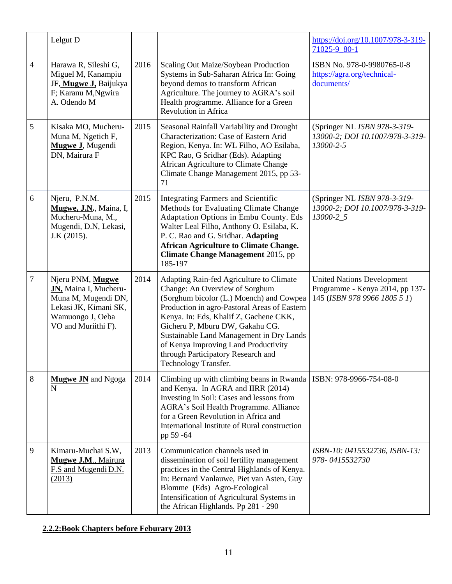|                | Lelgut D                                                                                                                             |      |                                                                                                                                                                                                                                                                                                                                                                                                       | https://doi.org/10.1007/978-3-319-<br>71025-9 80-1                                                   |
|----------------|--------------------------------------------------------------------------------------------------------------------------------------|------|-------------------------------------------------------------------------------------------------------------------------------------------------------------------------------------------------------------------------------------------------------------------------------------------------------------------------------------------------------------------------------------------------------|------------------------------------------------------------------------------------------------------|
| $\overline{4}$ | Harawa R, Sileshi G,<br>Miguel M, Kanampiu<br>JF, Mugwe J, Baijukya<br>F; Karanu M, Ngwira<br>A. Odendo M                            | 2016 | Scaling Out Maize/Soybean Production<br>Systems in Sub-Saharan Africa In: Going<br>beyond demos to transform African<br>Agriculture. The journey to AGRA's soil<br>Health programme. Alliance for a Green<br>Revolution in Africa                                                                                                                                                                     | ISBN No. 978-0-9980765-0-8<br>https://agra.org/technical-<br>documents/                              |
| 5              | Kisaka MO, Mucheru-<br>Muna M, Ngetich F,<br>Mugwe J, Mugendi<br>DN, Mairura F                                                       | 2015 | Seasonal Rainfall Variability and Drought<br>Characterization: Case of Eastern Arid<br>Region, Kenya. In: WL Filho, AO Esilaba,<br>KPC Rao, G Sridhar (Eds). Adapting<br>African Agriculture to Climate Change<br>Climate Change Management 2015, pp 53-<br>71                                                                                                                                        | (Springer NL ISBN 978-3-319-<br>13000-2; DOI 10.1007/978-3-319-<br>13000-2-5                         |
| 6              | Njeru, P.N.M.<br>Mugwe, J.N., Maina, I,<br>Mucheru-Muna, M.,<br>Mugendi, D.N, Lekasi,<br>J.K (2015).                                 | 2015 | Integrating Farmers and Scientific<br>Methods for Evaluating Climate Change<br>Adaptation Options in Embu County. Eds<br>Walter Leal Filho, Anthony O. Esilaba, K.<br>P. C. Rao and G. Sridhar. Adapting<br><b>African Agriculture to Climate Change.</b><br><b>Climate Change Management 2015, pp</b><br>185-197                                                                                     | (Springer NL ISBN 978-3-319-<br>13000-2; DOI 10.1007/978-3-319-<br>13000-2_5                         |
| $\overline{7}$ | Njeru PNM, Mugwe<br>JN, Maina I, Mucheru-<br>Muna M, Mugendi DN,<br>Lekasi JK, Kimani SK,<br>Wamuongo J, Oeba<br>VO and Muriithi F). | 2014 | Adapting Rain-fed Agriculture to Climate<br>Change: An Overview of Sorghum<br>(Sorghum bicolor (L.) Moench) and Cowpea<br>Production in agro-Pastoral Areas of Eastern<br>Kenya. In: Eds, Khalif Z, Gachene CKK,<br>Gicheru P, Mburu DW, Gakahu CG.<br>Sustainable Land Management in Dry Lands<br>of Kenya Improving Land Productivity<br>through Participatory Research and<br>Technology Transfer. | <b>United Nations Development</b><br>Programme - Kenya 2014, pp 137-<br>145 (ISBN 978 9966 1805 5 1) |
| 8              | <b>Mugwe JN</b> and Ngoga<br>$\mathbf N$                                                                                             | 2014 | Climbing up with climbing beans in Rwanda<br>and Kenya. In AGRA and IIRR (2014)<br>Investing in Soil: Cases and lessons from<br>AGRA's Soil Health Programme. Alliance<br>for a Green Revolution in Africa and<br>International Institute of Rural construction<br>pp 59 -64                                                                                                                          | ISBN: 978-9966-754-08-0                                                                              |
| 9              | Kimaru-Muchai S.W,<br><b>Mugwe J.M., Mairura</b><br>F.S and Mugendi D.N.<br>(2013)                                                   | 2013 | Communication channels used in<br>dissemination of soil fertility management<br>practices in the Central Highlands of Kenya.<br>In: Bernard Vanlauwe, Piet van Asten, Guy<br>Blomme (Eds) Agro-Ecological<br>Intensification of Agricultural Systems in<br>the African Highlands. Pp 281 - 290                                                                                                        | ISBN-10: 0415532736, ISBN-13:<br>978-0415532730                                                      |

## **2.2.2:Book Chapters before Feburary 2013**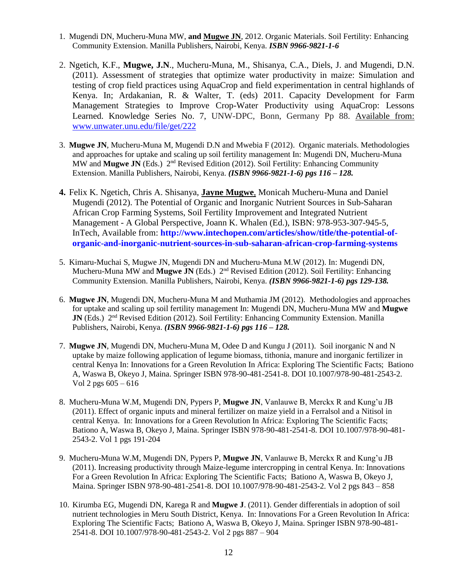- 1. Mugendi DN, Mucheru-Muna MW, **and Mugwe JN**, 2012. Organic Materials. Soil Fertility: Enhancing Community Extension. Manilla Publishers, Nairobi, Kenya. *ISBN 9966-9821-1-6*
- 2. Ngetich, K.F., **Mugwe, J.N**., Mucheru-Muna, M., Shisanya, C.A., Diels, J. and Mugendi, D.N. (2011). Assessment of strategies that optimize water productivity in maize: Simulation and testing of crop field practices using AquaCrop and field experimentation in central highlands of Kenya. In; Ardakanian, R. & Walter, T. (eds) 2011. Capacity Development for Farm Management Strategies to Improve Crop-Water Productivity using AquaCrop: Lessons Learned. Knowledge Series No. 7, UNW-DPC, Bonn, Germany Pp 88. Available from: [www.unwater.unu.edu/file/get/222](http://www.unwater.unu.edu/file/get/222)
- 3. **Mugwe JN**, Mucheru-Muna M, Mugendi D.N and Mwebia F (2012). Organic materials. Methodologies and approaches for uptake and scaling up soil fertility management In: Mugendi DN, Mucheru-Muna MW and **Mugwe JN** (Eds.) 2nd Revised Edition (2012). Soil Fertility: Enhancing Community Extension. Manilla Publishers, Nairobi, Kenya. *(ISBN 9966-9821-1-6) pgs 116 – 128.*
- **4.** Felix K. Ngetich, Chris A. Shisanya, **Jayne Mugwe**, Monicah Mucheru-Muna and Daniel Mugendi (2012). The Potential of Organic and Inorganic Nutrient Sources in Sub-Saharan African Crop Farming Systems, Soil Fertility Improvement and Integrated Nutrient Management - A Global Perspective, Joann K. Whalen (Ed.), ISBN: 978-953-307-945-5, InTech, Available from: **[http://www.intechopen.com/articles/show/title/the-potential-of](http://www.intechopen.com/articles/show/title/the-potential-of-organic-and-inorganic-nutrient-sources-in-sub-saharan-african-crop-farming-systems)[organic-and-inorganic-nutrient-sources-in-sub-saharan-african-crop-farming-systems](http://www.intechopen.com/articles/show/title/the-potential-of-organic-and-inorganic-nutrient-sources-in-sub-saharan-african-crop-farming-systems)**
- 5. Kimaru-Muchai S, Mugwe JN, Mugendi DN and Mucheru-Muna M.W (2012). In: Mugendi DN, Mucheru-Muna MW and Mugwe JN (Eds.) 2<sup>nd</sup> Revised Edition (2012). Soil Fertility: Enhancing Community Extension. Manilla Publishers, Nairobi, Kenya. *(ISBN 9966-9821-1-6) pgs 129-138.*
- 6. **Mugwe JN**, Mugendi DN, Mucheru-Muna M and Muthamia JM (2012). Methodologies and approaches for uptake and scaling up soil fertility management In: Mugendi DN, Mucheru-Muna MW and **Mugwe JN** (Eds.) 2<sup>nd</sup> Revised Edition (2012). Soil Fertility: Enhancing Community Extension. Manilla Publishers, Nairobi, Kenya. *(ISBN 9966-9821-1-6) pgs 116 – 128.*
- 7. **Mugwe JN**, Mugendi DN, Mucheru-Muna M, Odee D and Kungu J (2011). Soil inorganic N and N uptake by maize following application of legume biomass, tithonia, manure and inorganic fertilizer in central Kenya In: Innovations for a Green Revolution In Africa: Exploring The Scientific Facts; Bationo A, Waswa B, Okeyo J, Maina. Springer ISBN 978-90-481-2541-8. DOI 10.1007/978-90-481-2543-2. Vol 2 pgs  $605 - 616$
- 8. Mucheru-Muna W.M, Mugendi DN, Pypers P, **Mugwe JN**, Vanlauwe B, Merckx R and Kung'u JB (2011). Effect of organic inputs and mineral fertilizer on maize yield in a Ferralsol and a Nitisol in central Kenya. In: Innovations for a Green Revolution In Africa: Exploring The Scientific Facts; Bationo A, Waswa B, Okeyo J, Maina. Springer ISBN 978-90-481-2541-8. DOI 10.1007/978-90-481- 2543-2. Vol 1 pgs 191-204
- 9. Mucheru-Muna W.M, Mugendi DN, Pypers P, **Mugwe JN**, Vanlauwe B, Merckx R and Kung'u JB (2011). Increasing productivity through Maize-legume intercropping in central Kenya. In: Innovations For a Green Revolution In Africa: Exploring The Scientific Facts; Bationo A, Waswa B, Okeyo J, Maina. Springer ISBN 978-90-481-2541-8. DOI 10.1007/978-90-481-2543-2. Vol 2 pgs 843 – 858
- 10. Kirumba EG, Mugendi DN, Karega R and **Mugwe J**. (2011). Gender differentials in adoption of soil nutrient technologies in Meru South District, Kenya. In: Innovations For a Green Revolution In Africa: Exploring The Scientific Facts; Bationo A, Waswa B, Okeyo J, Maina. Springer ISBN 978-90-481- 2541-8. DOI 10.1007/978-90-481-2543-2. Vol 2 pgs 887 – 904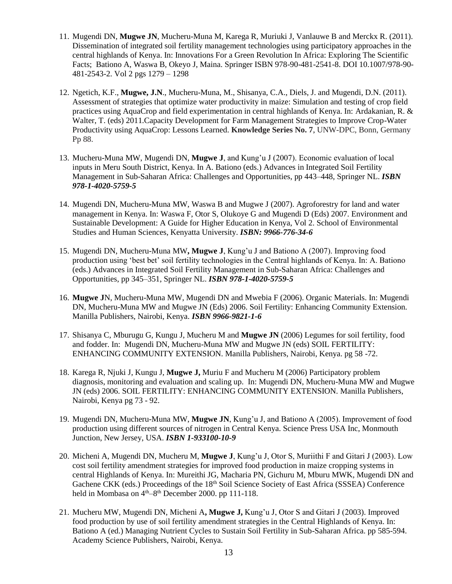- 11. Mugendi DN, **Mugwe JN**, Mucheru-Muna M, Karega R, Muriuki J, Vanlauwe B and Merckx R. (2011). Dissemination of integrated soil fertility management technologies using participatory approaches in the central highlands of Kenya. In: Innovations For a Green Revolution In Africa: Exploring The Scientific Facts; Bationo A, Waswa B, Okeyo J, Maina. Springer ISBN 978-90-481-2541-8. DOI 10.1007/978-90- 481-2543-2. Vol 2 pgs 1279 – 1298
- 12. Ngetich, K.F., **Mugwe, J.N**., Mucheru-Muna, M., Shisanya, C.A., Diels, J. and Mugendi, D.N. (2011). Assessment of strategies that optimize water productivity in maize: Simulation and testing of crop field practices using AquaCrop and field experimentation in central highlands of Kenya. In: Ardakanian, R. & Walter, T. (eds) 2011.Capacity Development for Farm Management Strategies to Improve Crop-Water Productivity using AquaCrop: Lessons Learned. **Knowledge Series No. 7**, UNW-DPC, Bonn, Germany Pp 88.
- 13. Mucheru-Muna MW, Mugendi DN, **Mugwe J**, and Kung'u J (2007). Economic evaluation of local inputs in Meru South District, Kenya. In A. Bationo (eds.) Advances in Integrated Soil Fertility Management in Sub-Saharan Africa: Challenges and Opportunities, pp 443–448, Springer NL. *ISBN 978-1-4020-5759-5*
- 14. Mugendi DN, Mucheru-Muna MW, Waswa B and Mugwe J (2007). Agroforestry for land and water management in Kenya. In: Waswa F, Otor S, Olukoye G and Mugendi D (Eds) 2007. Environment and Sustainable Development: A Guide for Higher Education in Kenya, Vol 2. School of Environmental Studies and Human Sciences, Kenyatta University. *ISBN: 9966-776-34-6*
- 15. Mugendi DN, Mucheru-Muna MW**, Mugwe J**, Kung'u J and Bationo A (2007). Improving food production using 'best bet' soil fertility technologies in the Central highlands of Kenya. In: A. Bationo (eds.) Advances in Integrated Soil Fertility Management in Sub-Saharan Africa: Challenges and Opportunities, pp 345–351, Springer NL. *ISBN 978-1-4020-5759-5*
- 16. **Mugwe J**N, Mucheru-Muna MW, Mugendi DN and Mwebia F (2006). Organic Materials. In: Mugendi DN, Mucheru-Muna MW and Mugwe JN (Eds) 2006. Soil Fertility: Enhancing Community Extension. Manilla Publishers, Nairobi, Kenya. *ISBN 9966-9821-1-6*
- 17. Shisanya C, Mburugu G, Kungu J, Mucheru M and **Mugwe JN** (2006) Legumes for soil fertility, food and fodder. In: Mugendi DN, Mucheru-Muna MW and Mugwe JN (eds) SOIL FERTILITY: ENHANCING COMMUNITY EXTENSION. Manilla Publishers, Nairobi, Kenya. pg 58 -72.
- 18. Karega R, Njuki J, Kungu J, **Mugwe J,** Muriu F and Mucheru M (2006) Participatory problem diagnosis, monitoring and evaluation and scaling up. In: Mugendi DN, Mucheru-Muna MW and Mugwe JN (eds) 2006. SOIL FERTILITY: ENHANCING COMMUNITY EXTENSION. Manilla Publishers, Nairobi, Kenya pg 73 - 92.
- 19. Mugendi DN, Mucheru-Muna MW, **Mugwe JN**, Kung'u J, and Bationo A (2005). Improvement of food production using different sources of nitrogen in Central Kenya. Science Press USA Inc, Monmouth Junction, New Jersey, USA. *ISBN 1-933100-10-9*
- 20. Micheni A, Mugendi DN, Mucheru M, **Mugwe J**, Kung'u J, Otor S, Muriithi F and Gitari J (2003). Low cost soil fertility amendment strategies for improved food production in maize cropping systems in central Highlands of Kenya. In: Mureithi JG, Macharia PN, Gichuru M, Mburu MWK, Mugendi DN and Gachene CKK (eds.) Proceedings of the 18<sup>th</sup> Soil Science Society of East Africa (SSSEA) Conference held in Mombasa on  $4<sup>th</sup>-8<sup>th</sup>$  December 2000. pp 111-118.
- 21. Mucheru MW, Mugendi DN, Micheni A**, Mugwe J,** Kung'u J, Otor S and Gitari J (2003). Improved food production by use of soil fertility amendment strategies in the Central Highlands of Kenya. In: Bationo A (ed.) Managing Nutrient Cycles to Sustain Soil Fertility in Sub-Saharan Africa. pp 585-594. Academy Science Publishers, Nairobi, Kenya.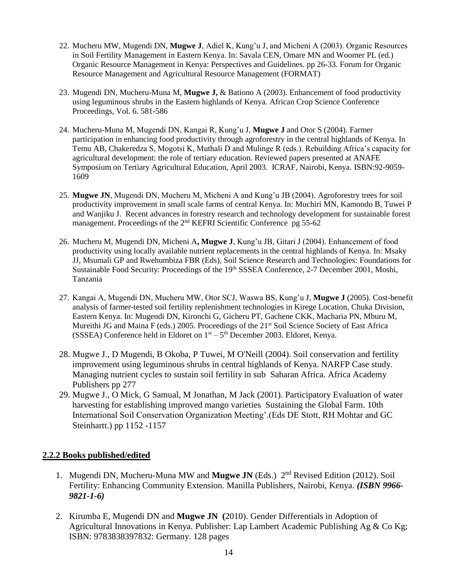- 22. Mucheru MW, Mugendi DN, **Mugwe J**, Adiel K, Kung'u J, and Micheni A (2003). Organic Resources in Soil Fertility Management in Eastern Kenya. In: Savala CEN, Omare MN and Woomer PL (ed.) Organic Resource Management in Kenya: Perspectives and Guidelines. pp 26-33. Forum for Organic Resource Management and Agricultural Resource Management (FORMAT)
- 23. Mugendi DN, Mucheru-Muna M, **Mugwe J,** & Bationo A (2003). Enhancement of food productivity using leguminous shrubs in the Eastern highlands of Kenya. African Crop Science Conference Proceedings, Vol. 6. 581-586
- 24. Mucheru-Muna M, Mugendi DN, Kangai R, Kung'u J, **Mugwe J** and Otor S (2004). Farmer participation in enhancing food productivity through agroforestry in the central highlands of Kenya. In Temu AB, Chakeredza S, Mogotsi K, Muthali D and Mulinge R (eds.). Rebuilding Africa's capacity for agricultural development: the role of tertiary education. Reviewed papers presented at ANAFE Symposium on Tertiary Agricultural Education, April 2003. ICRAF, Nairobi, Kenya. ISBN:92-9059- 1609
- 25. **Mugwe JN**, Mugendi DN, Mucheru M, Micheni A and Kung'u JB (2004). Agroforestry trees for soil productivity improvement in small scale farms of central Kenya. In: Muchiri MN, Kamondo B, Tuwei P and Wanjiku J. Recent advances in forestry research and technology development for sustainable forest management. Proceedings of the 2<sup>nd</sup> KEFRI Scientific Conference pg 55-62
- 26. Mucheru M, Mugendi DN, Micheni A**, Mugwe J**, Kung'u JB, Gitari J (2004). Enhancement of food productivity using locally available nutrient replacements in the central highlands of Kenya. In: Msaky JJ, Msumali GP and Rwehumbiza FBR (Eds), Soil Science Research and Technologies: Foundations for Sustainable Food Security: Proceedings of the 19<sup>th</sup> SSSEA Conference, 2-7 December 2001, Moshi, Tanzania
- 27. Kangai A, Mugendi DN, Mucheru MW, Otor SCJ, Waswa BS, Kung'u J, **Mugwe J** (2005). Cost-benefit analysis of farmer-tested soil fertility replenishment technologies in Kirege Location, Chuka Division, Eastern Kenya. In: Mugendi DN, Kironchi G, Gicheru PT, Gachene CKK, Macharia PN, Mburu M, Mureithi JG and Maina F (eds.) 2005. Proceedings of the  $21<sup>st</sup>$  Soil Science Society of East Africa (SSSEA) Conference held in Eldoret on  $1<sup>st</sup> - 5<sup>th</sup>$  December 2003. Eldoret, Kenya.
- 28. Mugwe J., D Mugendi, B Okoba, P Tuwei, M O'Neill (2004). Soil conservation and fertility improvement using leguminous shrubs in central highlands of Kenya. NARFP Case study. Managing nutrient cycles to sustain soil fertility in sub Saharan Africa. Africa Academy Publishers pp 277
- 29. Mugwe J., O Mick, G Samual, M Jonathan, M Jack (2001). Participatory Evaluation of water harvesting for establishing improved mango varieties Sustaining the Global Farm. 10th International Soil Conservation Organization Meeting'.(Eds DE Stott, RH Mohtar and GC Steinhartt.) pp 1152 -1157

### **2.2.2 Books published/edited**

- 1. Mugendi DN, Mucheru-Muna MW and **Mugwe JN** (Eds.) 2nd Revised Edition (2012). Soil Fertility: Enhancing Community Extension. Manilla Publishers, Nairobi, Kenya. *(ISBN 9966- 9821-1-6)*
- 2. Kirumba E, Mugendi DN and **Mugwe JN (**2010). Gender Differentials in Adoption of Agricultural Innovations in Kenya. Publisher: Lap Lambert Academic Publishing Ag & Co Kg; ISBN: 9783838397832: Germany. 128 pages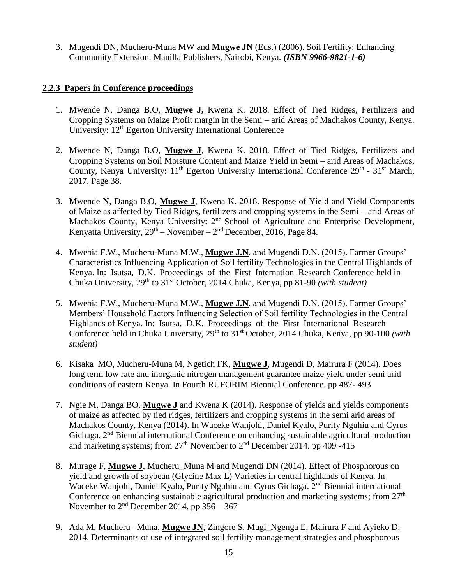3. Mugendi DN, Mucheru-Muna MW and **Mugwe JN** (Eds.) (2006). Soil Fertility: Enhancing Community Extension. Manilla Publishers, Nairobi, Kenya. *(ISBN 9966-9821-1-6)*

#### **2.2.3 Papers in Conference proceedings**

- 1. Mwende N, Danga B.O, **Mugwe J,** Kwena K. 2018. Effect of Tied Ridges, Fertilizers and Cropping Systems on Maize Profit margin in the Semi – arid Areas of Machakos County, Kenya. University: 12<sup>th</sup> Egerton University International Conference
- 2. Mwende N, Danga B.O, **Mugwe J**, Kwena K. 2018. Effect of Tied Ridges, Fertilizers and Cropping Systems on Soil Moisture Content and Maize Yield in Semi – arid Areas of Machakos, County, Kenya University: 11<sup>th</sup> Egerton University International Conference 29<sup>th</sup> - 31<sup>st</sup> March, 2017, Page 38.
- 3. Mwende **N**, Danga B.O, **Mugwe J**, Kwena K. 2018. Response of Yield and Yield Components of Maize as affected by Tied Ridges, fertilizers and cropping systems in the Semi – arid Areas of Machakos County, Kenya University: 2<sup>nd</sup> School of Agriculture and Enterprise Development, Kenyatta University,  $29<sup>th</sup>$  – November –  $2<sup>nd</sup>$  December, 2016, Page 84.
- 4. Mwebia F.W., Mucheru-Muna M.W., **Mugwe J.N**. and Mugendi D.N. (2015). Farmer Groups' Characteristics Influencing Application of Soil fertility Technologies in the Central Highlands of Kenya. In: Isutsa, D.K. Proceedings of the First Internation Research Conference held in Chuka University, 29th to 31st October, 2014 Chuka, Kenya, pp 81-90 *(with student)*
- 5. Mwebia F.W., Mucheru-Muna M.W., **Mugwe J.N**. and Mugendi D.N. (2015). Farmer Groups' Members' Household Factors Influencing Selection of Soil fertility Technologies in the Central Highlands of Kenya. In: Isutsa, D.K. Proceedings of the First International Research Conference held in Chuka University, 29<sup>th</sup> to 31<sup>st</sup> October, 2014 Chuka, Kenya, pp 90-100 *(with student)*
- 6. Kisaka MO, Mucheru-Muna M, Ngetich FK, **Mugwe J**, Mugendi D, Mairura F (2014). Does long term low rate and inorganic nitrogen management guarantee maize yield under semi arid conditions of eastern Kenya. In Fourth RUFORIM Biennial Conference. pp 487- 493
- 7. Ngie M, Danga BO, **Mugwe J** and Kwena K (2014). Response of yields and yields components of maize as affected by tied ridges, fertilizers and cropping systems in the semi arid areas of Machakos County, Kenya (2014). In Waceke Wanjohi, Daniel Kyalo, Purity Nguhiu and Cyrus Gichaga. 2nd Biennial international Conference on enhancing sustainable agricultural production and marketing systems; from  $27<sup>th</sup>$  November to  $2<sup>nd</sup>$  December 2014. pp 409 -415
- 8. Murage F, **Mugwe J**, Mucheru\_Muna M and Mugendi DN (2014). Effect of Phosphorous on yield and growth of soybean (Glycine Max L) Varieties in central highlands of Kenya. In Waceke Wanjohi, Daniel Kyalo, Purity Nguhiu and Cyrus Gichaga. 2nd Biennial international Conference on enhancing sustainable agricultural production and marketing systems; from  $27<sup>th</sup>$ November to  $2<sup>nd</sup>$  December 2014. pp  $356 - 367$
- 9. Ada M, Mucheru –Muna, **Mugwe JN**, Zingore S, Mugi\_Ngenga E, Mairura F and Ayieko D. 2014. Determinants of use of integrated soil fertility management strategies and phosphorous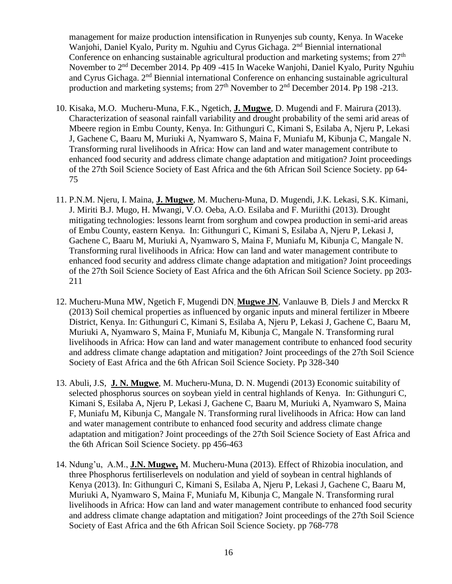management for maize production intensification in Runyenjes sub county, Kenya. In Waceke Wanjohi, Daniel Kyalo, Purity m. Nguhiu and Cyrus Gichaga. 2<sup>nd</sup> Biennial international Conference on enhancing sustainable agricultural production and marketing systems; from  $27<sup>th</sup>$ November to 2nd December 2014. Pp 409 -415 In Waceke Wanjohi, Daniel Kyalo, Purity Nguhiu and Cyrus Gichaga. 2nd Biennial international Conference on enhancing sustainable agricultural production and marketing systems; from 27<sup>th</sup> November to 2<sup>nd</sup> December 2014. Pp 198 -213.

- 10. Kisaka, M.O. Mucheru-Muna, F.K., Ngetich, **J. Mugwe**, D. Mugendi and F. Mairura (2013). Characterization of seasonal rainfall variability and drought probability of the semi arid areas of Mbeere region in Embu County, Kenya. In: Githunguri C, Kimani S, Esilaba A, Njeru P, Lekasi J, Gachene C, Baaru M, Muriuki A, Nyamwaro S, Maina F, Muniafu M, Kibunja C, Mangale N. Transforming rural livelihoods in Africa: How can land and water management contribute to enhanced food security and address climate change adaptation and mitigation? Joint proceedings of the 27th Soil Science Society of East Africa and the 6th African Soil Science Society. pp 64- 75
- 11. P.N.M. Njeru, I. Maina, **J. Mugwe**, M. Mucheru-Muna, D. Mugendi, J.K. Lekasi, S.K. Kimani, J. Miriti B.J. Mugo, H. Mwangi, V.O. Oeba, A.O. Esilaba and F. Muriithi (2013). Drought mitigating technologies: lessons learnt from sorghum and cowpea production in semi-arid areas of Embu County, eastern Kenya. In: Githunguri C, Kimani S, Esilaba A, Njeru P, Lekasi J, Gachene C, Baaru M, Muriuki A, Nyamwaro S, Maina F, Muniafu M, Kibunja C, Mangale N. Transforming rural livelihoods in Africa: How can land and water management contribute to enhanced food security and address climate change adaptation and mitigation? Joint proceedings of the 27th Soil Science Society of East Africa and the 6th African Soil Science Society. pp 203- 211
- 12. Mucheru-Muna MW, Ngetich F, Mugendi DN, **Mugwe JN**, Vanlauwe B, Diels J and Merckx R (2013) Soil chemical properties as influenced by organic inputs and mineral fertilizer in Mbeere District, Kenya. In: Githunguri C, Kimani S, Esilaba A, Njeru P, Lekasi J, Gachene C, Baaru M, Muriuki A, Nyamwaro S, Maina F, Muniafu M, Kibunja C, Mangale N. Transforming rural livelihoods in Africa: How can land and water management contribute to enhanced food security and address climate change adaptation and mitigation? Joint proceedings of the 27th Soil Science Society of East Africa and the 6th African Soil Science Society. Pp 328-340
- 13. Abuli, J.S, **J. N. Mugwe**, M. Mucheru-Muna, D. N. Mugendi (2013) Economic suitability of selected phosphorus sources on soybean yield in central highlands of Kenya. In: Githunguri C, Kimani S, Esilaba A, Njeru P, Lekasi J, Gachene C, Baaru M, Muriuki A, Nyamwaro S, Maina F, Muniafu M, Kibunja C, Mangale N. Transforming rural livelihoods in Africa: How can land and water management contribute to enhanced food security and address climate change adaptation and mitigation? Joint proceedings of the 27th Soil Science Society of East Africa and the 6th African Soil Science Society. pp 456-463
- 14. Ndung'u, A.M., **J.N. Mugwe,** M. Mucheru-Muna (2013). Effect of Rhizobia inoculation, and three Phosphorus fertiliserlevels on nodulation and yield of soybean in central highlands of Kenya (2013). In: Githunguri C, Kimani S, Esilaba A, Njeru P, Lekasi J, Gachene C, Baaru M, Muriuki A, Nyamwaro S, Maina F, Muniafu M, Kibunja C, Mangale N. Transforming rural livelihoods in Africa: How can land and water management contribute to enhanced food security and address climate change adaptation and mitigation? Joint proceedings of the 27th Soil Science Society of East Africa and the 6th African Soil Science Society. pp 768-778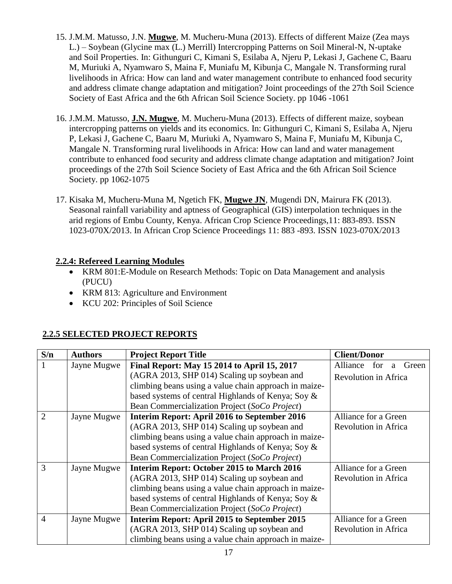- 15. J.M.M. Matusso, J.N. **Mugwe**, M. Mucheru-Muna (2013). Effects of different Maize (Zea mays L.) – Soybean (Glycine max (L.) Merrill) Intercropping Patterns on Soil Mineral-N, N-uptake and Soil Properties. In: Githunguri C, Kimani S, Esilaba A, Njeru P, Lekasi J, Gachene C, Baaru M, Muriuki A, Nyamwaro S, Maina F, Muniafu M, Kibunja C, Mangale N. Transforming rural livelihoods in Africa: How can land and water management contribute to enhanced food security and address climate change adaptation and mitigation? Joint proceedings of the 27th Soil Science Society of East Africa and the 6th African Soil Science Society. pp 1046 -1061
- 16. J.M.M. Matusso, **J.N. Mugwe**, M. Mucheru-Muna (2013). Effects of different maize, soybean intercropping patterns on yields and its economics. In: Githunguri C, Kimani S, Esilaba A, Njeru P, Lekasi J, Gachene C, Baaru M, Muriuki A, Nyamwaro S, Maina F, Muniafu M, Kibunja C, Mangale N. Transforming rural livelihoods in Africa: How can land and water management contribute to enhanced food security and address climate change adaptation and mitigation? Joint proceedings of the 27th Soil Science Society of East Africa and the 6th African Soil Science Society. pp 1062-1075
- 17. Kisaka M, Mucheru-Muna M, Ngetich FK, **Mugwe JN**, Mugendi DN, Mairura FK (2013). Seasonal rainfall variability and aptness of Geographical (GIS) interpolation techniques in the arid regions of Embu County, Kenya. African Crop Science Proceedings,11: 883-893. ISSN 1023-070X/2013. In African Crop Science Proceedings 11: 883 -893. ISSN 1023-070X/2013

### **2.2.4: Refereed Learning Modules**

- KRM 801:E-Module on Research Methods: Topic on Data Management and analysis (PUCU)
- KRM 813: Agriculture and Environment
- KCU 202: Principles of Soil Science

### **2.2.5 SELECTED PROJECT REPORTS**

| S/n                         | <b>Authors</b> | <b>Project Report Title</b>                           | <b>Client/Donor</b>           |
|-----------------------------|----------------|-------------------------------------------------------|-------------------------------|
|                             | Jayne Mugwe    | Final Report: May 15 2014 to April 15, 2017           | Alliance<br>for<br>Green<br>a |
|                             |                | (AGRA 2013, SHP 014) Scaling up soybean and           | Revolution in Africa          |
|                             |                | climbing beans using a value chain approach in maize- |                               |
|                             |                | based systems of central Highlands of Kenya; Soy &    |                               |
|                             |                | Bean Commercialization Project (SoCo Project)         |                               |
| $\mathcal{D}_{\mathcal{L}}$ | Jayne Mugwe    | Interim Report: April 2016 to September 2016          | Alliance for a Green          |
|                             |                | (AGRA 2013, SHP 014) Scaling up soybean and           | Revolution in Africa          |
|                             |                | climbing beans using a value chain approach in maize- |                               |
|                             |                | based systems of central Highlands of Kenya; Soy &    |                               |
|                             |                | Bean Commercialization Project (SoCo Project)         |                               |
| $\mathcal{R}$               | Jayne Mugwe    | Interim Report: October 2015 to March 2016            | Alliance for a Green          |
|                             |                | (AGRA 2013, SHP 014) Scaling up soybean and           | Revolution in Africa          |
|                             |                | climbing beans using a value chain approach in maize- |                               |
|                             |                | based systems of central Highlands of Kenya; Soy &    |                               |
|                             |                | Bean Commercialization Project (SoCo Project)         |                               |
| $\overline{4}$              | Jayne Mugwe    | Interim Report: April 2015 to September 2015          | Alliance for a Green          |
|                             |                | (AGRA 2013, SHP 014) Scaling up soybean and           | <b>Revolution in Africa</b>   |
|                             |                | climbing beans using a value chain approach in maize- |                               |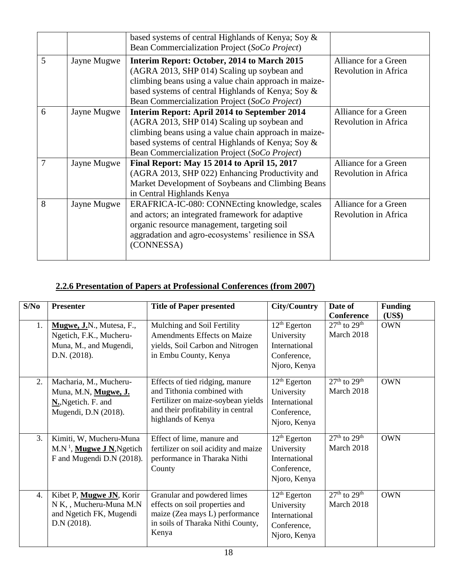|   |             | based systems of central Highlands of Kenya; Soy &<br>Bean Commercialization Project (SoCo Project)                                                                                                                                                         |                                                     |
|---|-------------|-------------------------------------------------------------------------------------------------------------------------------------------------------------------------------------------------------------------------------------------------------------|-----------------------------------------------------|
| 5 | Jayne Mugwe | Interim Report: October, 2014 to March 2015<br>(AGRA 2013, SHP 014) Scaling up soybean and<br>climbing beans using a value chain approach in maize-<br>based systems of central Highlands of Kenya; Soy &<br>Bean Commercialization Project (SoCo Project)  | Alliance for a Green<br>Revolution in Africa        |
| 6 | Jayne Mugwe | Interim Report: April 2014 to September 2014<br>(AGRA 2013, SHP 014) Scaling up soybean and<br>climbing beans using a value chain approach in maize-<br>based systems of central Highlands of Kenya; Soy &<br>Bean Commercialization Project (SoCo Project) | Alliance for a Green<br>Revolution in Africa        |
| 7 | Jayne Mugwe | Final Report: May 15 2014 to April 15, 2017<br>(AGRA 2013, SHP 022) Enhancing Productivity and<br>Market Development of Soybeans and Climbing Beans<br>in Central Highlands Kenya                                                                           | Alliance for a Green<br><b>Revolution in Africa</b> |
| 8 | Jayne Mugwe | ERAFRICA-IC-080: CONNEcting knowledge, scales<br>and actors; an integrated framework for adaptive<br>organic resource management, targeting soil<br>aggradation and agro-ecosystems' resilience in SSA<br>(CONNESSA)                                        | Alliance for a Green<br>Revolution in Africa        |

# **2.2.6 Presentation of Papers at Professional Conferences (from 2007)**

| S/No             | <b>Presenter</b>                                                                              | <b>Title of Paper presented</b>                                                                                                                                 | <b>City/Country</b>                                                          | Date of                               | <b>Funding</b>       |
|------------------|-----------------------------------------------------------------------------------------------|-----------------------------------------------------------------------------------------------------------------------------------------------------------------|------------------------------------------------------------------------------|---------------------------------------|----------------------|
| 1.               | Mugwe, J.N., Mutesa, F.,                                                                      | Mulching and Soil Fertility                                                                                                                                     | $12th$ Egerton                                                               | <b>Conference</b><br>$27th$ to $29th$ | (US\$)<br><b>OWN</b> |
|                  | Ngetich, F.K., Mucheru-<br>Muna, M., and Mugendi,<br>D.N. (2018).                             | <b>Amendments Effects on Maize</b><br>yields, Soil Carbon and Nitrogen<br>in Embu County, Kenya                                                                 | University<br>International<br>Conference,<br>Njoro, Kenya                   | March 2018                            |                      |
| 2.               | Macharia, M., Mucheru-<br>Muna, M.N, Mugwe, J.<br>N., Ngetich. F. and<br>Mugendi, D.N (2018). | Effects of tied ridging, manure<br>and Tithonia combined with<br>Fertilizer on maize-soybean yields<br>and their profitability in central<br>highlands of Kenya | $12th$ Egerton<br>University<br>International<br>Conference,<br>Njoro, Kenya | $27th$ to $29th$<br>March 2018        | <b>OWN</b>           |
| 3.               | Kimiti, W, Mucheru-Muna<br>$M.N1$ , Mugwe J N, Ngetich<br>F and Mugendi D.N (2018).           | Effect of lime, manure and<br>fertilizer on soil acidity and maize<br>performance in Tharaka Nithi<br>County                                                    | $12th$ Egerton<br>University<br>International<br>Conference,<br>Njoro, Kenya | $27th$ to $29th$<br>March 2018        | <b>OWN</b>           |
| $\overline{4}$ . | Kibet P, Mugwe JN, Korir<br>N K,, Mucheru-Muna M.N<br>and Ngetich FK, Mugendi<br>D.N (2018).  | Granular and powdered limes<br>effects on soil properties and<br>maize (Zea mays L) performance<br>in soils of Tharaka Nithi County,<br>Kenya                   | $12th$ Egerton<br>University<br>International<br>Conference,<br>Njoro, Kenya | $27th$ to $29th$<br>March 2018        | <b>OWN</b>           |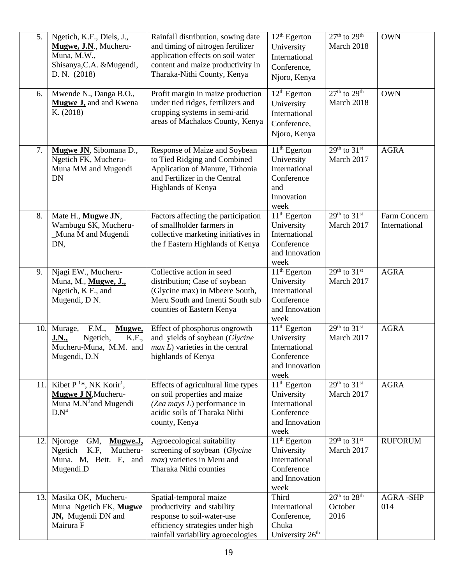| 5.  | Ngetich, K.F., Diels, J.,<br>Mugwe, J.N., Mucheru-<br>Muna, M.W.,<br>Shisanya, C.A. & Mugendi,<br>D. N. (2018)           | Rainfall distribution, sowing date<br>and timing of nitrogen fertilizer<br>application effects on soil water<br>content and maize productivity in<br>Tharaka-Nithi County, Kenya | 12 <sup>th</sup> Egerton<br>University<br>International<br>Conference,<br>Njoro, Kenya   | $27th$ to $29th$<br>March 2018                          | <b>OWN</b>                    |
|-----|--------------------------------------------------------------------------------------------------------------------------|----------------------------------------------------------------------------------------------------------------------------------------------------------------------------------|------------------------------------------------------------------------------------------|---------------------------------------------------------|-------------------------------|
| 6.  | Mwende N., Danga B.O.,<br><b>Mugwe J</b> , and and Kwena<br>K. (2018)                                                    | Profit margin in maize production<br>under tied ridges, fertilizers and<br>cropping systems in semi-arid<br>areas of Machakos County, Kenya                                      | $12th$ Egerton<br>University<br>International<br>Conference,<br>Njoro, Kenya             | $27th$ to $29th$<br>March 2018                          | <b>OWN</b>                    |
| 7.  | Mugwe JN, Sibomana D.,<br>Ngetich FK, Mucheru-<br>Muna MM and Mugendi<br><b>DN</b>                                       | Response of Maize and Soybean<br>to Tied Ridging and Combined<br>Application of Manure, Tithonia<br>and Fertilizer in the Central<br>Highlands of Kenya                          | $11th$ Egerton<br>University<br>International<br>Conference<br>and<br>Innovation<br>week | $29th$ to $31st$<br>March 2017                          | <b>AGRA</b>                   |
| 8.  | Mate H., Mugwe JN,<br>Wambugu SK, Mucheru-<br>_Muna M and Mugendi<br>DN,                                                 | Factors affecting the participation<br>of smallholder farmers in<br>collective marketing initiatives in<br>the f Eastern Highlands of Kenya                                      | $11th$ Egerton<br>University<br>International<br>Conference<br>and Innovation<br>week    | $29th$ to $31st$<br>March 2017                          | Farm Concern<br>International |
| 9.  | Njagi EW., Mucheru-<br>Muna, M., Mugwe, J.,<br>Ngetich, K F., and<br>Mugendi, D N.                                       | Collective action in seed<br>distribution; Case of soybean<br>(Glycine max) in Mbeere South,<br>Meru South and Imenti South sub<br>counties of Eastern Kenya                     | $11th$ Egerton<br>University<br>International<br>Conference<br>and Innovation<br>week    | $29th$ to $31st$<br>March 2017                          | <b>AGRA</b>                   |
| 10. | Murage,<br>F.M.,<br>Mugwe,<br><b>K.F.,</b><br>Ngetich,<br><u>J.N.,</u><br>Mucheru-Muna, M.M. and<br>Mugendi, D.N.        | Effect of phosphorus ongrowth<br>and yields of soybean (Glycine<br>$max L$ ) varieties in the central<br>highlands of Kenya                                                      | $11th$ Egerton<br>University<br>International<br>Conference<br>and Innovation<br>week    | $29th$ to $31st$<br>March 2017                          | <b>AGRA</b>                   |
| 11. | Kibet $P^{1*}$ , NK Korir <sup>1</sup> ,<br>Mugwe J N, Mucheru-<br>Muna M.N <sup>3</sup> and Mugendi<br>D.N <sup>4</sup> | Effects of agricultural lime types<br>on soil properties and maize<br>(Zea mays L) performance in<br>acidic soils of Tharaka Nithi<br>county, Kenya                              | $11th$ Egerton<br>University<br>International<br>Conference<br>and Innovation<br>week    | $29th$ to $31st$<br>March 2017                          | <b>AGRA</b>                   |
| 12. | GM,<br>Njoroge<br>Mugwe.J,<br>K.F,<br>Mucheru-<br>Ngetich<br>Muna. M, Bett. E, and<br>Mugendi.D                          | Agroecological suitability<br>screening of soybean (Glycine<br><i>max</i> ) varieties in Meru and<br>Tharaka Nithi counties                                                      | $11th$ Egerton<br>University<br>International<br>Conference<br>and Innovation<br>week    | $29th$ to $31st$<br>March 2017                          | <b>RUFORUM</b>                |
| 13. | Masika OK, Mucheru-<br>Muna Ngetich FK, Mugwe<br>JN, Mugendi DN and<br>Mairura F                                         | Spatial-temporal maize<br>productivity and stability<br>response to soil-water-use<br>efficiency strategies under high<br>rainfall variability agroecologies                     | Third<br>International<br>Conference,<br>Chuka<br>University 26 <sup>th</sup>            | $26^{\text{th}}$ to $28^{\text{th}}$<br>October<br>2016 | <b>AGRA-SHP</b><br>014        |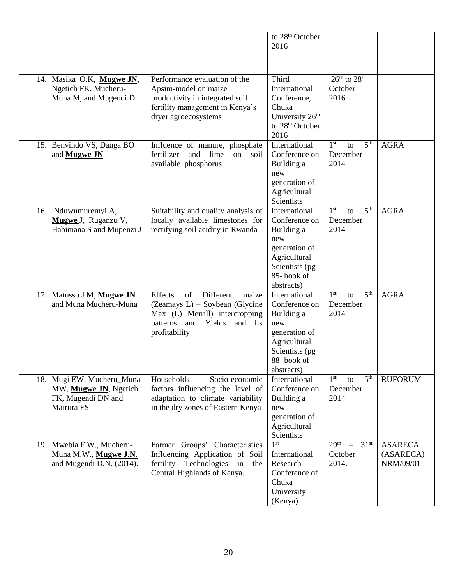|     |                                                                                    |                                                                                                                                                            | to 28 <sup>th</sup> October<br>2016                                                                                                |                                                              |                                          |
|-----|------------------------------------------------------------------------------------|------------------------------------------------------------------------------------------------------------------------------------------------------------|------------------------------------------------------------------------------------------------------------------------------------|--------------------------------------------------------------|------------------------------------------|
| 14. | Masika O.K, Mugwe JN,<br>Ngetich FK, Mucheru-<br>Muna M, and Mugendi D             | Performance evaluation of the<br>Apsim-model on maize<br>productivity in integrated soil<br>fertility management in Kenya's<br>dryer agroecosystems        | Third<br>International<br>Conference,<br>Chuka<br>University 26 <sup>th</sup><br>to 28 <sup>th</sup> October<br>2016               | $26th$ to $28th$<br>October<br>2016                          |                                          |
| 15. | Benvindo VS, Danga BO<br>and <b>Mugwe JN</b>                                       | Influence of manure, phosphate<br>fertilizer<br>and<br>lime<br>on<br>soil<br>available phosphorus                                                          | International<br>Conference on<br>Building a<br>new<br>generation of<br>Agricultural<br>Scientists                                 | 5 <sup>th</sup><br>1 <sup>st</sup><br>to<br>December<br>2014 | <b>AGRA</b>                              |
| 16. | Nduwumuremyi A,<br>Mugwe J, Ruganzu V,<br>Habimana S and Mupenzi J                 | Suitability and quality analysis of<br>locally available limestones for<br>rectifying soil acidity in Rwanda                                               | International<br>Conference on<br>Building a<br>new<br>generation of<br>Agricultural<br>Scientists (pg<br>85-book of<br>abstracts) | 5 <sup>th</sup><br>1 <sup>st</sup><br>to<br>December<br>2014 | <b>AGRA</b>                              |
| 17. | Matusso J M, Mugwe JN<br>and Muna Mucheru-Muna                                     | of<br>Different<br>Effects<br>maize<br>(Zeamays L) – Soybean (Glycine<br>Max (L) Merrill) intercropping<br>patterns and Yields<br>and Its<br>profitability | International<br>Conference on<br>Building a<br>new<br>generation of<br>Agricultural<br>Scientists (pg<br>88-book of<br>abstracts) | 5 <sup>th</sup><br>1 <sup>st</sup><br>to<br>December<br>2014 | <b>AGRA</b>                              |
| 18. | Mugi EW, Mucheru_Muna<br>MW, Mugwe JN, Ngetich<br>FK, Mugendi DN and<br>Mairura FS | Households<br>Socio-economic<br>factors influencing the level of<br>adaptation to climate variability<br>in the dry zones of Eastern Kenya                 | International<br>Conference on<br>Building a<br>new<br>generation of<br>Agricultural<br>Scientists                                 | $1^{\rm st}$<br>5 <sup>th</sup><br>to<br>December<br>2014    | <b>RUFORUM</b>                           |
| 19. | Mwebia F.W., Mucheru-<br>Muna M.W., Mugwe J.N.<br>and Mugendi D.N. (2014).         | Farmer Groups' Characteristics<br>Influencing Application of Soil<br>fertility Technologies<br>in<br>the<br>Central Highlands of Kenya.                    | 1 <sup>st</sup><br>International<br>Research<br>Conference of<br>Chuka<br>University<br>(Kenya)                                    | 29 <sup>th</sup><br>31 <sup>st</sup><br>October<br>2014.     | <b>ASARECA</b><br>(ASARECA)<br>NRM/09/01 |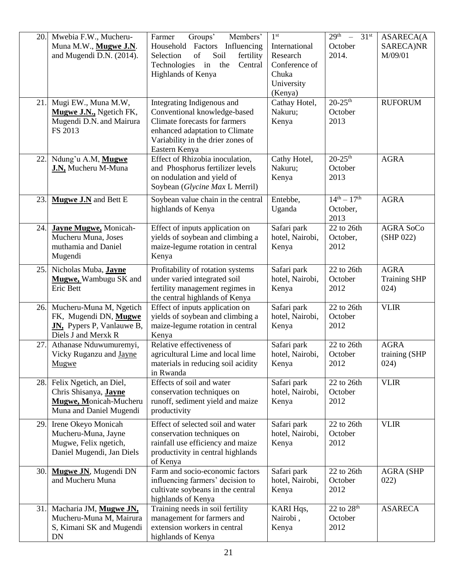| 20. | Mwebia F.W., Mucheru-<br>Muna M.W., Mugwe J.N.                                                               | Groups'<br>Members'<br>Farmer<br>Household Factors Influencing                                                                                                                      | 1 <sup>st</sup><br>International                            | $29th$ -<br>31 <sup>st</sup><br>October    | <b>ASARECA(A</b><br>SARECA)NR              |
|-----|--------------------------------------------------------------------------------------------------------------|-------------------------------------------------------------------------------------------------------------------------------------------------------------------------------------|-------------------------------------------------------------|--------------------------------------------|--------------------------------------------|
|     | and Mugendi D.N. (2014).                                                                                     | of<br>Soil<br>Selection<br>fertility<br>Technologies in the<br>Central<br>Highlands of Kenya                                                                                        | Research<br>Conference of<br>Chuka<br>University<br>(Kenya) | 2014.                                      | M/09/01                                    |
| 21. | Mugi EW., Muna M.W,<br>Mugwe J.N., Ngetich FK,<br>Mugendi D.N. and Mairura<br>FS 2013                        | Integrating Indigenous and<br>Conventional knowledge-based<br>Climate forecasts for farmers<br>enhanced adaptation to Climate<br>Variability in the drier zones of<br>Eastern Kenya | Cathay Hotel,<br>Nakuru;<br>Kenya                           | $20 - 25$ <sup>th</sup><br>October<br>2013 | <b>RUFORUM</b>                             |
| 22. | Ndung'u A.M, Mugwe<br>J.N, Mucheru M-Muna                                                                    | Effect of Rhizobia inoculation,<br>and Phosphorus fertilizer levels<br>on nodulation and yield of<br>Soybean (Glycine Max L Merril)                                                 | Cathy Hotel,<br>Nakuru;<br>Kenya                            | $20 - 25$ <sup>th</sup><br>October<br>2013 | <b>AGRA</b>                                |
| 23. | Mugwe J.N and Bett E                                                                                         | Soybean value chain in the central<br>highlands of Kenya                                                                                                                            | Entebbe,<br>Uganda                                          | $14^{th} - 17^{th}$<br>October,<br>2013    | <b>AGRA</b>                                |
| 24. | <b>Jayne Mugwe, Monicah-</b><br>Mucheru Muna, Joses<br>muthamia and Daniel<br>Mugendi                        | Effect of inputs application on<br>yields of soybean and climbing a<br>maize-legume rotation in central<br>Kenya                                                                    | Safari park<br>hotel, Nairobi,<br>Kenya                     | 22 to 26th<br>October,<br>2012             | <b>AGRA SoCo</b><br>(SHP 022)              |
| 25. | Nicholas Muba, Jayne<br>Mugwe, Wambugu SK and<br>Eric Bett                                                   | Profitability of rotation systems<br>under varied integrated soil<br>fertility management regimes in<br>the central highlands of Kenya                                              | Safari park<br>hotel, Nairobi,<br>Kenya                     | 22 to 26th<br>October<br>2012              | <b>AGRA</b><br><b>Training SHP</b><br>024) |
| 26. | Mucheru-Muna M, Ngetich<br>FK, Mugendi DN, Mugwe<br><b>JN</b> , Pypers P, Vanlauwe B,<br>Diels J and Merxk R | Effect of inputs application on<br>yields of soybean and climbing a<br>maize-legume rotation in central<br>Kenya                                                                    | Safari park<br>hotel, Nairobi,<br>Kenya                     | 22 to 26th<br>October<br>2012              | <b>VLIR</b>                                |
| 27. | Athanase Nduwumuremyi,<br>Vicky Ruganzu and Jayne<br>Mugwe                                                   | Relative effectiveness of<br>agricultural Lime and local lime<br>materials in reducing soil acidity<br>in Rwanda                                                                    | Safari park<br>hotel, Nairobi,<br>Kenya                     | 22 to 26th<br>October<br>2012              | <b>AGRA</b><br>training (SHP<br>024)       |
| 28. | Felix Ngetich, an Diel,<br>Chris Shisanya, Jayne<br>Mugwe, Monicah-Mucheru<br>Muna and Daniel Mugendi        | Effects of soil and water<br>conservation techniques on<br>runoff, sediment yield and maize<br>productivity                                                                         | Safari park<br>hotel, Nairobi,<br>Kenya                     | 22 to 26th<br>October<br>2012              | <b>VLIR</b>                                |
| 29. | Irene Okeyo Monicah<br>Mucheru-Muna, Jayne<br>Mugwe, Felix ngetich,<br>Daniel Mugendi, Jan Diels             | Effect of selected soil and water<br>conservation techniques on<br>rainfall use efficiency and maize<br>productivity in central highlands<br>of Kenya                               | Safari park<br>hotel, Nairobi,<br>Kenya                     | 22 to 26th<br>October<br>2012              | <b>VLIR</b>                                |
| 30. | Mugwe JN, Mugendi DN<br>and Mucheru Muna                                                                     | Farm and socio-economic factors<br>influencing farmers' decision to<br>cultivate soybeans in the central<br>highlands of Kenya                                                      | Safari park<br>hotel, Nairobi,<br>Kenya                     | 22 to 26th<br>October<br>2012              | <b>AGRA (SHP</b><br>022)                   |
| 31. | Macharia JM, Mugwe JN,<br>Mucheru-Muna M, Mairura<br>S, Kimani SK and Mugendi<br>DN                          | Training needs in soil fertility<br>management for farmers and<br>extension workers in central<br>highlands of Kenya                                                                | KARI Hqs,<br>Nairobi,<br>Kenya                              | 22 to $28th$<br>October<br>2012            | <b>ASARECA</b>                             |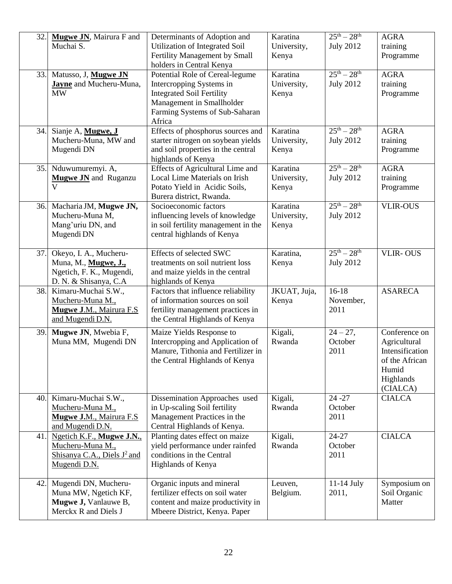| 32. | Mugwe JN, Mairura F and<br>Muchai S.                                                                | Determinants of Adoption and<br>Utilization of Integrated Soil<br>Fertility Management by Small<br>holders in Central Kenya                                              | Karatina<br>University,<br>Kenya | $25^{th} - 28^{th}$<br><b>July 2012</b> | <b>AGRA</b><br>training<br>Programme                                                                 |
|-----|-----------------------------------------------------------------------------------------------------|--------------------------------------------------------------------------------------------------------------------------------------------------------------------------|----------------------------------|-----------------------------------------|------------------------------------------------------------------------------------------------------|
|     | 33. Matusso, J, Mugwe JN<br>Jayne and Mucheru-Muna,<br><b>MW</b>                                    | Potential Role of Cereal-legume<br>Intercropping Systems in<br><b>Integrated Soil Fertility</b><br>Management in Smallholder<br>Farming Systems of Sub-Saharan<br>Africa | Karatina<br>University,<br>Kenya | $25^{th} - 28^{th}$<br><b>July 2012</b> | <b>AGRA</b><br>training<br>Programme                                                                 |
| 34. | Sianje A, Mugwe, J<br>Mucheru-Muna, MW and<br>Mugendi DN                                            | Effects of phosphorus sources and<br>starter nitrogen on soybean yields<br>and soil properties in the central<br>highlands of Kenya                                      | Karatina<br>University,<br>Kenya | $25^{th} - 28^{th}$<br><b>July 2012</b> | <b>AGRA</b><br>training<br>Programme                                                                 |
|     | 35. Nduwumuremyi. A,<br><b>Mugwe JN</b> and Ruganzu<br>$\mathbf{V}$                                 | Effects of Agricultural Lime and<br>Local Lime Materials on Irish<br>Potato Yield in Acidic Soils,<br>Burera district, Rwanda.                                           | Karatina<br>University,<br>Kenya | $25th - 28th$<br><b>July 2012</b>       | <b>AGRA</b><br>training<br>Programme                                                                 |
|     | 36. Macharia JM, Mugwe JN,<br>Mucheru-Muna M,<br>Mang'uriu DN, and<br>Mugendi DN                    | Socioeconomic factors<br>influencing levels of knowledge<br>in soil fertility management in the<br>central highlands of Kenya                                            | Karatina<br>University,<br>Kenya | $25^{th} - 28^{th}$<br><b>July 2012</b> | <b>VLIR-OUS</b>                                                                                      |
| 37. | Okeyo, I. A., Mucheru-<br>Muna, M., Mugwe, J.,<br>Ngetich, F. K., Mugendi,<br>D. N. & Shisanya, C.A | Effects of selected SWC<br>treatments on soil nutrient loss<br>and maize yields in the central<br>highlands of Kenya                                                     | Karatina,<br>Kenya               | $25^{th} - 28^{th}$<br><b>July 2012</b> | <b>VLIR-OUS</b>                                                                                      |
| 38. | Kimaru-Muchai S.W.,<br>Mucheru-Muna M.,<br>Mugwe J.M., Mairura F.S<br>and Mugendi D.N.              | Factors that influence reliability<br>of information sources on soil<br>fertility management practices in<br>the Central Highlands of Kenya                              | JKUAT, Juja,<br>Kenya            | $16-18$<br>November,<br>2011            | <b>ASARECA</b>                                                                                       |
| 39. | Mugwe JN, Mwebia F,<br>Muna MM, Mugendi DN                                                          | Maize Yields Response to<br>Intercropping and Application of<br>Manure, Tithonia and Fertilizer in<br>the Central Highlands of Kenya                                     | Kigali,<br>Rwanda                | $24 - 27$ ,<br>October<br>2011          | Conference on<br>Agricultural<br>Intensification<br>of the African<br>Humid<br>Highlands<br>(CIALCA) |
| 40. | Kimaru-Muchai S.W.,<br>Mucheru-Muna M.,<br>Mugwe J.M., Mairura F.S.<br>and Mugendi D.N.             | Dissemination Approaches used<br>in Up-scaling Soil fertility<br>Management Practices in the<br>Central Highlands of Kenya.                                              | Kigali,<br>Rwanda                | $24 - 27$<br>October<br>2011            | <b>CIALCA</b>                                                                                        |
| 41. | Ngetich K.F., Mugwe J.N.,<br>Mucheru-Muna M.,<br>Shisanya C.A., Diels $J^2$ and<br>Mugendi D.N.     | Planting dates effect on maize<br>yield performance under rainfed<br>conditions in the Central<br>Highlands of Kenya                                                     | Kigali,<br>Rwanda                | 24-27<br>October<br>2011                | <b>CIALCA</b>                                                                                        |
| 42. | Mugendi DN, Mucheru-<br>Muna MW, Ngetich KF,<br>Mugwe J, Vanlauwe B,<br>Merckx R and Diels J        | Organic inputs and mineral<br>fertilizer effects on soil water<br>content and maize productivity in<br>Mbeere District, Kenya. Paper                                     | Leuven,<br>Belgium.              | 11-14 July<br>2011,                     | Symposium on<br>Soil Organic<br>Matter                                                               |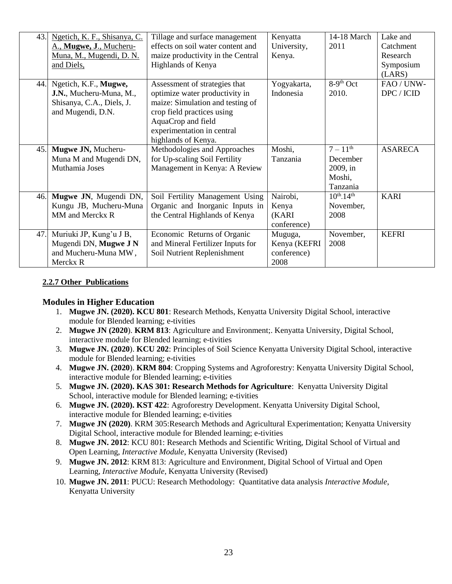| 43. | Ngetich, K. F., Shisanya, C.    | Tillage and surface management    | Kenyatta     | 14-18 March                 | Lake and       |
|-----|---------------------------------|-----------------------------------|--------------|-----------------------------|----------------|
|     | A., Mugwe, J., Mucheru-         | effects on soil water content and | University,  | 2011                        | Catchment      |
|     | <u>Muna, M., Mugendi, D. N.</u> | maize productivity in the Central | Kenya.       |                             | Research       |
|     | and Diels,                      | Highlands of Kenya                |              |                             | Symposium      |
|     |                                 |                                   |              |                             | (LARS)         |
| 44. | Ngetich, K.F., Mugwe,           | Assessment of strategies that     | Yogyakarta,  | $8-9th$ Oct                 | FAO / UNW-     |
|     | J.N., Mucheru-Muna, M.,         | optimize water productivity in    | Indonesia    | 2010.                       | DPC / ICID     |
|     | Shisanya, C.A., Diels, J.       | maize: Simulation and testing of  |              |                             |                |
|     | and Mugendi, D.N.               | crop field practices using        |              |                             |                |
|     |                                 | AquaCrop and field                |              |                             |                |
|     |                                 | experimentation in central        |              |                             |                |
|     |                                 | highlands of Kenya.               |              |                             |                |
| 45. | Mugwe JN, Mucheru-              | Methodologies and Approaches      | Moshi,       | $7 - 11$ <sup>th</sup>      | <b>ASARECA</b> |
|     | Muna M and Mugendi DN,          | for Up-scaling Soil Fertility     | Tanzania     | December                    |                |
|     | Muthamia Joses                  | Management in Kenya: A Review     |              | 2009, in                    |                |
|     |                                 |                                   |              | Moshi,                      |                |
|     |                                 |                                   |              | Tanzania                    |                |
| 46. | Mugwe JN, Mugendi DN,           | Soil Fertility Management Using   | Nairobi,     | $10^{th}$ -14 <sup>th</sup> | <b>KARI</b>    |
|     | Kungu JB, Mucheru-Muna          | Organic and Inorganic Inputs in   | Kenya        | November,                   |                |
|     | MM and Merckx R                 | the Central Highlands of Kenya    | (KARI        | 2008                        |                |
|     |                                 |                                   | conference)  |                             |                |
| 47. | Muriuki JP, Kung'u J B,         | Economic Returns of Organic       | Muguga,      | November,                   | <b>KEFRI</b>   |
|     | Mugendi DN, Mugwe J N           | and Mineral Fertilizer Inputs for | Kenya (KEFRI | 2008                        |                |
|     | and Mucheru-Muna MW,            | Soil Nutrient Replenishment       | conference)  |                             |                |
|     | Merckx R                        |                                   | 2008         |                             |                |

### **2.2.7 Other Publications**

#### **Modules in Higher Education**

- 1. **Mugwe JN. (2020). KCU 801**: Research Methods, Kenyatta University Digital School, interactive module for Blended learning; e-tivities
- 2. **Mugwe JN (2020**). **KRM 813**: Agriculture and Environment;. Kenyatta University, Digital School, interactive module for Blended learning; e-tivities
- 3. **Mugwe JN. (2020**). **KCU 202**: Principles of Soil Science Kenyatta University Digital School, interactive module for Blended learning; e-tivities
- 4. **Mugwe JN. (2020**). **KRM 804**: Cropping Systems and Agroforestry: Kenyatta University Digital School, interactive module for Blended learning; e-tivities
- 5. **Mugwe JN. (2020). KAS 301: Research Methods for Agriculture**: Kenyatta University Digital School, interactive module for Blended learning; e-tivities
- 6. **Mugwe JN. (2020). KST 422**: Agroforestry Development. Kenyatta University Digital School, interactive module for Blended learning; e-tivities
- 7. **Mugwe JN (2020)**. KRM 305:Research Methods and Agricultural Experimentation; Kenyatta University Digital School, interactive module for Blended learning; e-tivities
- 8. **Mugwe JN. 2012**: KCU 801: Research Methods and Scientific Writing, Digital School of Virtual and Open Learning, *Interactive Module*, Kenyatta University (Revised)
- 9. **Mugwe JN. 2012**: KRM 813: Agriculture and Environment, Digital School of Virtual and Open Learning, *Interactive Module*, Kenyatta University (Revised)
- 10. **Mugwe JN. 2011**: PUCU: Research Methodology: Quantitative data analysis *Interactive Module*, Kenyatta University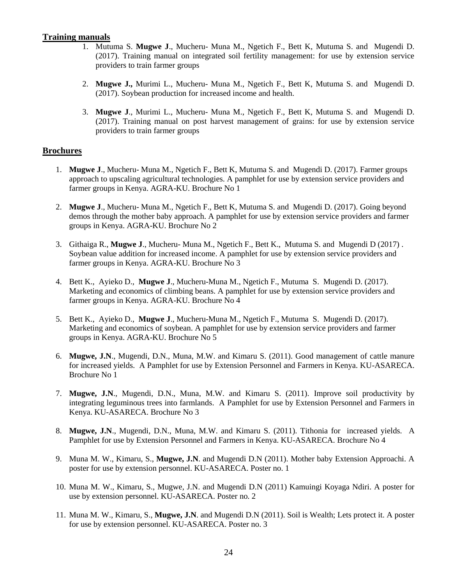#### **Training manuals**

- 1. Mutuma S. **Mugwe J**., Mucheru- Muna M., Ngetich F., Bett K, Mutuma S. and Mugendi D. (2017). Training manual on integrated soil fertility management: for use by extension service providers to train farmer groups
- 2. **Mugwe J.,** Murimi L., Mucheru- Muna M., Ngetich F., Bett K, Mutuma S. and Mugendi D. (2017). Soybean production for increased income and health.
- 3. **Mugwe J**., Murimi L., Mucheru- Muna M., Ngetich F., Bett K, Mutuma S. and Mugendi D. (2017). Training manual on post harvest management of grains: for use by extension service providers to train farmer groups

#### **Brochures**

- 1. **Mugwe J**., Mucheru- Muna M., Ngetich F., Bett K, Mutuma S. and Mugendi D. (2017). Farmer groups approach to upscaling agricultural technologies. A pamphlet for use by extension service providers and farmer groups in Kenya. AGRA-KU. Brochure No 1
- 2. **Mugwe J**., Mucheru- Muna M., Ngetich F., Bett K, Mutuma S. and Mugendi D. (2017). Going beyond demos through the mother baby approach. A pamphlet for use by extension service providers and farmer groups in Kenya. AGRA-KU. Brochure No 2
- 3. Githaiga R., **Mugwe J**., Mucheru- Muna M., Ngetich F., Bett K., Mutuma S. and Mugendi D (2017) . Soybean value addition for increased income. A pamphlet for use by extension service providers and farmer groups in Kenya. AGRA-KU. Brochure No 3
- 4. Bett K., Ayieko D., **Mugwe J**., Mucheru-Muna M., Ngetich F., Mutuma S. Mugendi D. (2017). Marketing and economics of climbing beans. A pamphlet for use by extension service providers and farmer groups in Kenya. AGRA-KU. Brochure No 4
- 5. Bett K., Ayieko D., **Mugwe J**., Mucheru-Muna M., Ngetich F., Mutuma S. Mugendi D. (2017). Marketing and economics of soybean. A pamphlet for use by extension service providers and farmer groups in Kenya. AGRA-KU. Brochure No 5
- 6. **Mugwe, J.N**., Mugendi, D.N., Muna, M.W. and Kimaru S. (2011). Good management of cattle manure for increased yields. A Pamphlet for use by Extension Personnel and Farmers in Kenya. KU-ASARECA. Brochure No 1
- 7. **Mugwe, J.N**., Mugendi, D.N., Muna, M.W. and Kimaru S. (2011). Improve soil productivity by integrating leguminous trees into farmlands. A Pamphlet for use by Extension Personnel and Farmers in Kenya. KU-ASARECA. Brochure No 3
- 8. **Mugwe, J.N**., Mugendi, D.N., Muna, M.W. and Kimaru S. (2011). Tithonia for increased yields. A Pamphlet for use by Extension Personnel and Farmers in Kenya. KU-ASARECA. Brochure No 4
- 9. Muna M. W., Kimaru, S., **Mugwe, J.N**. and Mugendi D.N (2011). Mother baby Extension Approachi. A poster for use by extension personnel. KU-ASARECA. Poster no. 1
- 10. Muna M. W., Kimaru, S., Mugwe, J.N. and Mugendi D.N (2011) Kamuingi Koyaga Ndiri. A poster for use by extension personnel. KU-ASARECA. Poster no. 2
- 11. Muna M. W., Kimaru, S., **Mugwe, J.N**. and Mugendi D.N (2011). Soil is Wealth; Lets protect it. A poster for use by extension personnel. KU-ASARECA. Poster no. 3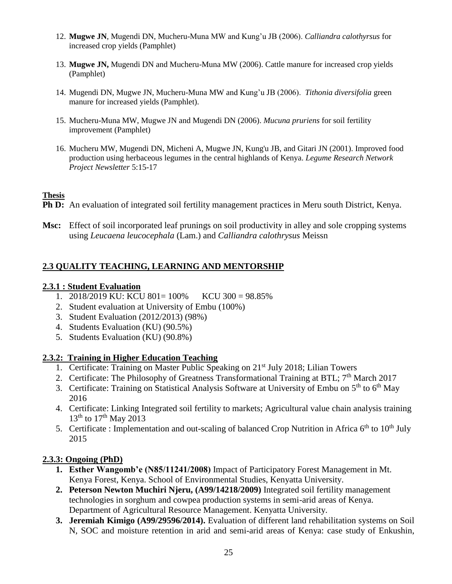- 12. **Mugwe JN**, Mugendi DN, Mucheru-Muna MW and Kung'u JB (2006). *Calliandra calothyrsus* for increased crop yields (Pamphlet)
- 13. **Mugwe JN,** Mugendi DN and Mucheru-Muna MW (2006). Cattle manure for increased crop yields (Pamphlet)
- 14. Mugendi DN, Mugwe JN, Mucheru-Muna MW and Kung'u JB (2006). *Tithonia diversifolia* green manure for increased yields (Pamphlet).
- 15. Mucheru-Muna MW, Mugwe JN and Mugendi DN (2006). *Mucuna pruriens* for soil fertility improvement (Pamphlet)
- 16. Mucheru MW, Mugendi DN, Micheni A, Mugwe JN, Kung'u JB, and Gitari JN (2001). Improved food production using herbaceous legumes in the central highlands of Kenya. *Legume Research Network Project Newsletter* 5:15-17

### **Thesis**

- **Ph D:** An evaluation of integrated soil fertility management practices in Meru south District, Kenya.
- **Msc:** Effect of soil incorporated leaf prunings on soil productivity in alley and sole cropping systems using *Leucaena leucocephala* (Lam.) and *Calliandra calothrysus* Meissn

## **2.3 QUALITY TEACHING, LEARNING AND MENTORSHIP**

### **2.3.1 : Student Evaluation**

- 1. 2018/2019 KU: KCU 801= 100% KCU 300 = 98.85%
- 2. Student evaluation at University of Embu (100%)
- 3. Student Evaluation (2012/2013) (98%)
- 4. Students Evaluation (KU) (90.5%)
- 5. Students Evaluation (KU) (90.8%)

### **2.3.2: Training in Higher Education Teaching**

- 1. Certificate: Training on Master Public Speaking on 21<sup>st</sup> July 2018; Lilian Towers
- 2. Certificate: The Philosophy of Greatness Transformational Training at BTL; 7<sup>th</sup> March 2017
- 3. Certificate: Training on Statistical Analysis Software at University of Embu on 5<sup>th</sup> to 6<sup>th</sup> May 2016
- 4. Certificate: Linking Integrated soil fertility to markets; Agricultural value chain analysis training  $13^{th}$  to  $17^{th}$  May 2013
- 5. Certificate : Implementation and out-scaling of balanced Crop Nutrition in Africa  $6<sup>th</sup>$  to  $10<sup>th</sup>$  July 2015

### **2.3.3: Ongoing (PhD)**

- **1. Esther Wangomb'e (N85/11241/2008)** Impact of Participatory Forest Management in Mt. Kenya Forest, Kenya. School of Environmental Studies, Kenyatta University.
- **2. Peterson Newton Muchiri Njeru, (A99/14218/2009)** Integrated soil fertility management technologies in sorghum and cowpea production systems in semi-arid areas of Kenya. Department of Agricultural Resource Management. Kenyatta University.
- **3. Jeremiah Kimigo (A99/29596/2014).** Evaluation of different land rehabilitation systems on Soil N, SOC and moisture retention in arid and semi-arid areas of Kenya: case study of Enkushin,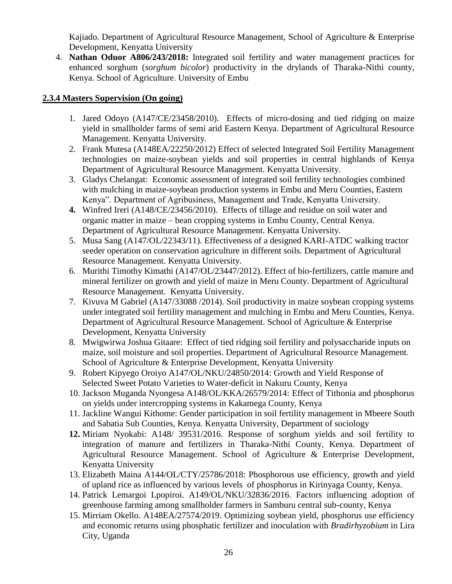Kajiado. Department of Agricultural Resource Management, School of Agriculture & Enterprise Development, Kenyatta University

4. **Nathan Oduor A806/243/2018:** Integrated soil fertility and water management practices for enhanced sorghum (*sorghum bicolor*) productivity in the drylands of Tharaka-Nithi county, Kenya. School of Agriculture. University of Embu

### **2.3.4 Masters Supervision (On going)**

- 1. Jared Odoyo (A147/CE/23458/2010). Effects of micro-dosing and tied ridging on maize yield in smallholder farms of semi arid Eastern Kenya. Department of Agricultural Resource Management. Kenyatta University.
- 2. Frank Mutesa (A148EA/22250/2012) Effect of selected Integrated Soil Fertility Management technologies on maize-soybean yields and soil properties in central highlands of Kenya Department of Agricultural Resource Management. Kenyatta University.
- 3. Gladys Chelangat: Economic assessment of integrated soil fertility technologies combined with mulching in maize-soybean production systems in Embu and Meru Counties, Eastern Kenya". Department of Agribusiness, Management and Trade, Kenyatta University.
- **4.** Winfred Ireri (A148/CE/23456/2010). Effects of tillage and residue on soil water and organic matter in maize – bean cropping systems in Embu County, Central Kenya. Department of Agricultural Resource Management. Kenyatta University.
- 5. Musa Sang (A147/OL/22343/11). Effectiveness of a designed KARI-ATDC walking tractor seeder operation on conservation agriculture in different soils. Department of Agricultural Resource Management. Kenyatta University.
- 6. Murithi Timothy Kimathi (A147/OL/23447/2012). Effect of bio-fertilizers, cattle manure and mineral fertilizer on growth and yield of maize in Meru County. Department of Agricultural Resource Management. Kenyatta University.
- 7. Kivuva M Gabriel (A147/33088 /2014). Soil productivity in maize soybean cropping systems under integrated soil fertility management and mulching in Embu and Meru Counties, Kenya. Department of Agricultural Resource Management. School of Agriculture & Enterprise Development, Kenyatta University
- 8. Mwigwirwa Joshua Gitaare: Effect of tied ridging soil fertility and polysaccharide inputs on maize, soil moisture and soil properties. Department of Agricultural Resource Management. School of Agriculture & Enterprise Development, Kenyatta University
- 9. Robert Kipyego Oroiyo A147/OL/NKU/24850/2014: Growth and Yield Response of Selected Sweet Potato Varieties to Water-deficit in Nakuru County, Kenya
- 10. Jackson Muganda Nyongesa A148/OL/KKA/26579/2014: Effect of Tithonia and phosphorus on yields under intercropping systems in Kakamega County, Kenya
- 11. Jackline Wangui Kithome: Gender participation in soil fertility management in Mbeere South and Sabatia Sub Counties, Kenya. Kenyatta University, Department of sociology
- **12.** Miriam Nyokabi: A148/ 39531/2016. Response of sorghum yields and soil fertility to integration of manure and fertilizers in Tharaka-Nithi County, Kenya. Department of Agricultural Resource Management. School of Agriculture & Enterprise Development, Kenyatta University
- 13. Elizabeth Maina A144/OL/CTY/25786/2018: Phosphorous use efficiency, growth and yield of upland rice as influenced by various levels of phosphorus in Kirinyaga County, Kenya.
- 14. Patrick Lemargoi Lpopiroi. A149/OL/NKU/32836/2016. Factors influencing adoption of greenhouse farming among smallholder farmers in Samburu central sub-county, Kenya
- 15. Mirriam Okello. A148EA/27574/2019. Optimizing soybean yield, phosphorus use efficiency and economic returns using phosphatic fertilizer and inoculation with *Bradirhyzobium* in Lira City, Uganda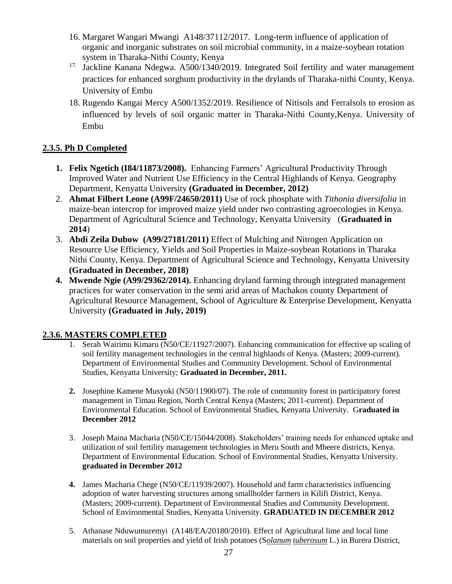- 16. Margaret Wangari Mwangi A148/37112/2017. Long-term influence of application of organic and inorganic substrates on soil microbial community, in a maize-soybean rotation system in Tharaka-Nithi County, Kenya
- <sup>17.</sup> Jackline Kanana Ndegwa. A500/1340/2019. Integrated Soil fertility and water management practices for enhanced sorghum productivity in the drylands of Tharaka-nithi County, Kenya. University of Embu
- 18. Rugendo Kangai Mercy A500/1352/2019. Resilience of Nitisols and Ferralsols to erosion as influenced by levels of soil organic matter in Tharaka-Nithi County,Kenya. University of Embu

## **2.3.5. Ph D Completed**

- **1. Felix Ngetich (I84/11873/2008).** Enhancing Farmers' Agricultural Productivity Through Improved Water and Nutrient Use Efficiency in the Central Highlands of Kenya. Geography Department, Kenyatta University **(Graduated in December, 2012)**
- 2. **Ahmat Filbert Leone (A99F/24650/2011)** Use of rock phosphate with *Tithonia diversifolia* in maize-bean intercrop for improved maize yield under two contrasting agroecologies in Kenya. Department of Agricultural Science and Technology, Kenyatta University (**Graduated in 2014**)
- 3. **Abdi Zeila Dubow (A99/27181/2011)** Effect of Mulching and Nitrogen Application on Resource Use Efficiency, Yields and Soil Properties in Maize-soybean Rotations in Tharaka Nithi County, Kenya. Department of Agricultural Science and Technology, Kenyatta University **(Graduated in December, 2018)**
- **4. Mwende Ngie (A99/29362/2014).** Enhancing dryland farming through integrated management practices for water conservation in the semi arid areas of Machakos county Department of Agricultural Resource Management, School of Agriculture & Enterprise Development, Kenyatta University **(Graduated in July, 2019)**

### **2.3.6. MASTERS COMPLETED**

- 1. Serah Wairimu Kimaru (N50/CE/11927/2007). Enhancing communication for effective up scaling of soil fertility management technologies in the central highlands of Kenya. (Masters; 2009-current). Department of Environmental Studies and Community Development. School of Environmental Studies, Kenyatta University; **Graduated in December, 2011.**
- **2.** Josephine Kamene Musyoki (N50/11900/07). The role of community forest in participatory forest management in Timau Region, North Central Kenya (Masters; 2011-current). Department of Environmental Education. School of Environmental Studies, Kenyatta University. G**raduated in December 2012**
- 3. Joseph Maina Macharia (N50/CE/15044/2008). Stakeholders' training needs for enhanced uptake and utilization of soil fertility management technologies in Meru South and Mbeere districts, Kenya. Department of Environmental Education. School of Environmental Studies, Kenyatta University. **graduated in December 2012**
- **4.** James Macharia Chege (N50/CE/11939/2007). Household and farm characteristics influencing adoption of water harvesting structures among smallholder farmers in Kilifi District, Kenya. (Masters; 2009-current). Department of Environmental Studies and Community Development. School of Environmental Studies, Kenyatta University. **GRADUATED IN DECEMBER 2012**
- 5. Athanase Nduwumuremyi (A148/EA/20180/2010). Effect of Agricultural lime and local lime materials on soil properties and yield of Irish potatoes (S*olanum tuberosum* L.) in Burera District,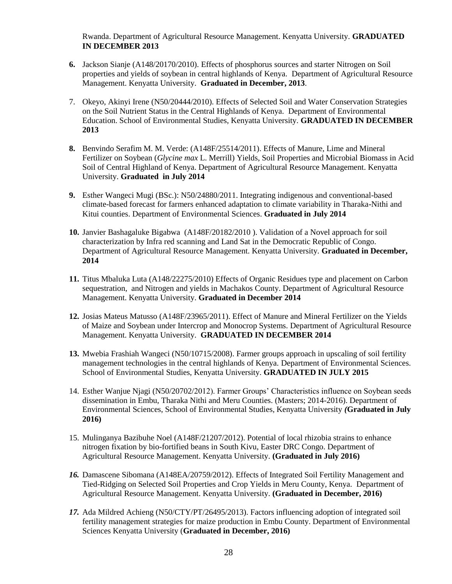Rwanda. Department of Agricultural Resource Management. Kenyatta University. **GRADUATED IN DECEMBER 2013**

- **6.** Jackson Sianje (A148/20170/2010). Effects of phosphorus sources and starter Nitrogen on Soil properties and yields of soybean in central highlands of Kenya. Department of Agricultural Resource Management. Kenyatta University. **Graduated in December, 2013**.
- 7. Okeyo, Akinyi Irene (N50/20444/2010). Effects of Selected Soil and Water Conservation Strategies on the Soil Nutrient Status in the Central Highlands of Kenya. Department of Environmental Education. School of Environmental Studies, Kenyatta University. **GRADUATED IN DECEMBER 2013**
- **8.** Benvindo Serafim M. M. Verde: (A148F/25514/2011). Effects of Manure, Lime and Mineral Fertilizer on Soybean (*Glycine max* L. Merrill) Yields, Soil Properties and Microbial Biomass in Acid Soil of Central Highland of Kenya. Department of Agricultural Resource Management. Kenyatta University. **Graduated in July 2014**
- **9.** Esther Wangeci Mugi (BSc.): N50/24880/2011. Integrating indigenous and conventional-based climate-based forecast for farmers enhanced adaptation to climate variability in Tharaka-Nithi and Kitui counties. Department of Environmental Sciences. **Graduated in July 2014**
- **10.** Janvier Bashagaluke Bigabwa (A148F/20182/2010 ). Validation of a Novel approach for soil characterization by Infra red scanning and Land Sat in the Democratic Republic of Congo. Department of Agricultural Resource Management. Kenyatta University. **Graduated in December, 2014**
- **11.** Titus Mbaluka Luta (A148/22275/2010) Effects of Organic Residues type and placement on Carbon sequestration, and Nitrogen and yields in Machakos County. Department of Agricultural Resource Management. Kenyatta University. **Graduated in December 2014**
- **12.** Josias Mateus Matusso (A148F/23965/2011). Effect of Manure and Mineral Fertilizer on the Yields of Maize and Soybean under Intercrop and Monocrop Systems. Department of Agricultural Resource Management. Kenyatta University. **GRADUATED IN DECEMBER 2014**
- **13.** Mwebia Frashiah Wangeci (N50/10715/2008). Farmer groups approach in upscaling of soil fertility management technologies in the central highlands of Kenya. Department of Environmental Sciences. School of Environmental Studies, Kenyatta University. **GRADUATED IN JULY 2015**
- 14. Esther Wanjue Njagi (N50/20702/2012). Farmer Groups' Characteristics influence on Soybean seeds dissemination in Embu, Tharaka Nithi and Meru Counties. (Masters; 2014-2016). Department of Environmental Sciences, School of Environmental Studies, Kenyatta University *(***Graduated in July 2016)**
- 15. Mulinganya Bazibuhe Noel (A148F/21207/2012). Potential of local rhizobia strains to enhance nitrogen fixation by bio-fortified beans in South Kivu, Easter DRC Congo. Department of Agricultural Resource Management. Kenyatta University. **(Graduated in July 2016)**
- *16.* Damascene Sibomana (A148EA/20759/2012). Effects of Integrated Soil Fertility Management and Tied-Ridging on Selected Soil Properties and Crop Yields in Meru County, Kenya. Department of Agricultural Resource Management. Kenyatta University*.* **(Graduated in December, 2016)**
- *17.* Ada Mildred Achieng (N50/CTY/PT/26495/2013). Factors influencing adoption of integrated soil fertility management strategies for maize production in Embu County. Department of Environmental Sciences Kenyatta University (**Graduated in December, 2016)**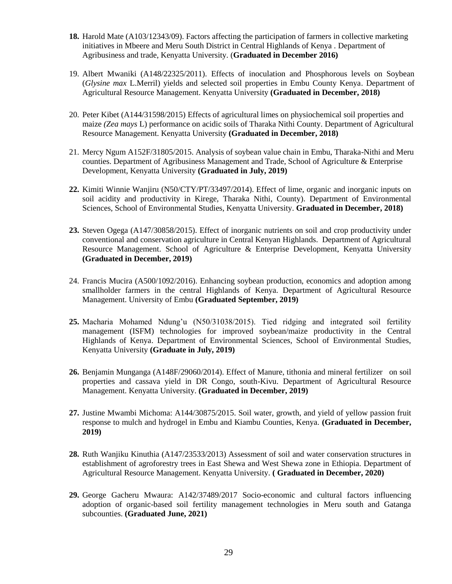- **18.** Harold Mate (A103/12343/09). Factors affecting the participation of farmers in collective marketing initiatives in Mbeere and Meru South District in Central Highlands of Kenya . Department of Agribusiness and trade, Kenyatta University. (**Graduated in December 2016)**
- 19. Albert Mwaniki (A148/22325/2011). Effects of inoculation and Phosphorous levels on Soybean (*Glysine max* L.Merril) yields and selected soil properties in Embu County Kenya. Department of Agricultural Resource Management. Kenyatta University **(Graduated in December, 2018)**
- 20. Peter Kibet (A144/31598/2015) Effects of agricultural limes on physiochemical soil properties and maize *(Zea mays* L) performance on acidic soils of Tharaka Nithi County. Department of Agricultural Resource Management. Kenyatta University **(Graduated in December, 2018)**
- 21. Mercy Ngum A152F/31805/2015. Analysis of soybean value chain in Embu, Tharaka-Nithi and Meru counties. Department of Agribusiness Management and Trade, School of Agriculture & Enterprise Development, Kenyatta University **(Graduated in July, 2019)**
- **22.** Kimiti Winnie Wanjiru (N50/CTY/PT/33497/2014). Effect of lime, organic and inorganic inputs on soil acidity and productivity in Kirege, Tharaka Nithi, County). Department of Environmental Sciences, School of Environmental Studies, Kenyatta University. **Graduated in December, 2018)**
- **23.** Steven Ogega (A147/30858/2015). Effect of inorganic nutrients on soil and crop productivity under conventional and conservation agriculture in Central Kenyan Highlands. Department of Agricultural Resource Management. School of Agriculture & Enterprise Development, Kenyatta University **(Graduated in December, 2019)**
- 24. Francis Mucira (A500/1092/2016). Enhancing soybean production, economics and adoption among smallholder farmers in the central Highlands of Kenya. Department of Agricultural Resource Management. University of Embu **(Graduated September, 2019)**
- **25.** Macharia Mohamed Ndung'u (N50/31038/2015). Tied ridging and integrated soil fertility management (ISFM) technologies for improved soybean/maize productivity in the Central Highlands of Kenya. Department of Environmental Sciences, School of Environmental Studies, Kenyatta University **(Graduate in July, 2019)**
- **26.** Benjamin Munganga (A148F/29060/2014). Effect of Manure, tithonia and mineral fertilizer on soil properties and cassava yield in DR Congo, south-Kivu. Department of Agricultural Resource Management. Kenyatta University. **(Graduated in December, 2019)**
- **27.** Justine Mwambi Michoma: A144/30875/2015. Soil water, growth, and yield of yellow passion fruit response to mulch and hydrogel in Embu and Kiambu Counties, Kenya. **(Graduated in December, 2019)**
- **28.** Ruth Wanjiku Kinuthia (A147/23533/2013) Assessment of soil and water conservation structures in establishment of agroforestry trees in East Shewa and West Shewa zone in Ethiopia. Department of Agricultural Resource Management. Kenyatta University. **( Graduated in December, 2020)**
- **29.** George Gacheru Mwaura: A142/37489/2017 Socio-economic and cultural factors influencing adoption of organic-based soil fertility management technologies in Meru south and Gatanga subcounties. **(Graduated June, 2021)**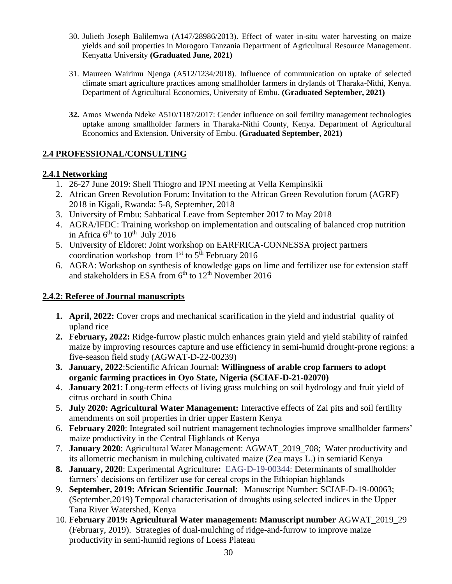- 30. Julieth Joseph Balilemwa (A147/28986/2013). Effect of water in-situ water harvesting on maize yields and soil properties in Morogoro Tanzania Department of Agricultural Resource Management. Kenyatta University **(Graduated June, 2021)**
- 31. Maureen Wairimu Njenga (A512/1234/2018). Influence of communication on uptake of selected climate smart agriculture practices among smallholder farmers in drylands of Tharaka-Nithi, Kenya. Department of Agricultural Economics, University of Embu. **(Graduated September, 2021)**
- **32.** Amos Mwenda Ndeke A510/1187/2017: Gender influence on soil fertility management technologies uptake among smallholder farmers in Tharaka-Nithi County, Kenya. Department of Agricultural Economics and Extension. University of Embu. **(Graduated September, 2021)**

### **2.4 PROFESSIONAL/CONSULTING**

### **2.4.1 Networking**

- 1. 26-27 June 2019: Shell Thiogro and IPNI meeting at Vella Kempinsikii
- 2. African Green Revolution Forum: Invitation to the African Green Revolution forum (AGRF) 2018 in Kigali, Rwanda: 5-8, September, 2018
- 3. University of Embu: Sabbatical Leave from September 2017 to May 2018
- 4. AGRA/IFDC: Training workshop on implementation and outscaling of balanced crop nutrition in Africa  $6<sup>th</sup>$  to  $10<sup>th</sup>$  July 2016
- 5. University of Eldoret: Joint workshop on EARFRICA-CONNESSA project partners coordination workshop from  $1<sup>st</sup>$  to  $5<sup>th</sup>$  February 2016
- 6. AGRA: Workshop on synthesis of knowledge gaps on lime and fertilizer use for extension staff and stakeholders in ESA from  $6<sup>th</sup>$  to  $12<sup>th</sup>$  November 2016

### **2.4.2: Referee of Journal manuscripts**

- **1. April, 2022:** Cover crops and mechanical scarification in the yield and industrial quality of upland rice
- **2. February, 2022:** Ridge-furrow plastic mulch enhances grain yield and yield stability of rainfed maize by improving resources capture and use efficiency in semi-humid drought-prone regions: a five-season field study (AGWAT-D-22-00239)
- **3. January, 2022**:Scientific African Journal: **Willingness of arable crop farmers to adopt organic farming practices in Oyo State, Nigeria (SCIAF-D-21-02070)**
- 4. **January 2021**: Long-term effects of living grass mulching on soil hydrology and fruit yield of citrus orchard in south China
- 5. **July 2020: Agricultural Water Management:** Interactive effects of Zai pits and soil fertility amendments on soil properties in drier upper Eastern Kenya
- 6. **February 2020**: Integrated soil nutrient management technologies improve smallholder farmers' maize productivity in the Central Highlands of Kenya
- 7. **January 2020**: Agricultural Water Management: AGWAT\_2019\_708; Water productivity and its allometric mechanism in mulching cultivated maize (Zea mays L.) in semiarid Kenya
- **8. January, 2020**: Experimental Agriculture**:** EAG-D-19-00344: Determinants of smallholder farmers' decisions on fertilizer use for cereal crops in the Ethiopian highlands
- 9. **September, 2019: African Scientific Journal**: Manuscript Number: SCIAF-D-19-00063; (September,2019) Temporal characterisation of droughts using selected indices in the Upper Tana River Watershed, Kenya
- 10. **February 2019: Agricultural Water management: Manuscript number** AGWAT\_2019\_29 (February, 2019). Strategies of dual-mulching of ridge-and-furrow to improve maize productivity in semi-humid regions of Loess Plateau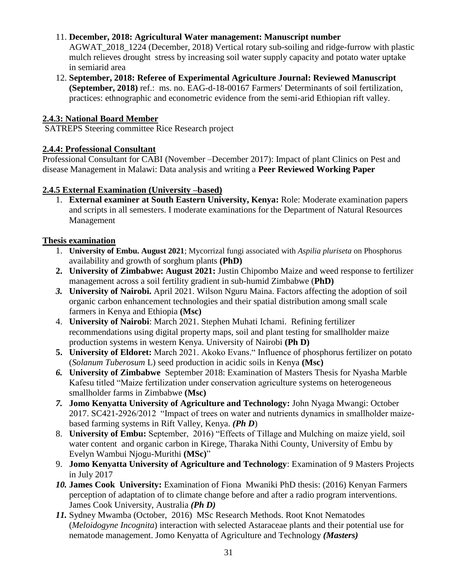### 11. **December, 2018: Agricultural Water management: Manuscript number**

AGWAT\_2018\_1224 (December, 2018) Vertical rotary sub-soiling and ridge-furrow with plastic mulch relieves drought stress by increasing soil water supply capacity and potato water uptake in semiarid area

12. **September, 2018: Referee of Experimental Agriculture Journal: Reviewed Manuscript (September, 2018)** ref.: ms. no. EAG-d-18-00167 Farmers' Determinants of soil fertilization, practices: ethnographic and econometric evidence from the semi-arid Ethiopian rift valley.

### **2.4.3: National Board Member**

SATREPS Steering committee Rice Research project

### **2.4.4: Professional Consultant**

Professional Consultant for CABI (November –December 2017): Impact of plant Clinics on Pest and disease Management in Malawi: Data analysis and writing a **Peer Reviewed Working Paper**

### **2.4.5 External Examination (University –based)**

1. **External examiner at South Eastern University, Kenya:** Role: Moderate examination papers and scripts in all semesters. I moderate examinations for the Department of Natural Resources Management

### **Thesis examination**

- 1. **University of Embu. August 2021**; Mycorrizal fungi associated with *Aspilia pluriseta* on Phosphorus availability and growth of sorghum plants **(PhD)**
- **2. University of Zimbabwe: August 2021:** Justin Chipombo Maize and weed response to fertilizer management across a soil fertility gradient in sub-humid Zimbabwe (**PhD)**
- *3.* **University of Nairobi.** April 2021. Wilson Nguru Maina. Factors affecting the adoption of soil organic carbon enhancement technologies and their spatial distribution among small scale farmers in Kenya and Ethiopia **(Msc)**
- 4. **University of Nairobi**: March 2021. Stephen Muhati Ichami. Refining fertilizer recommendations using digital property maps, soil and plant testing for smallholder maize production systems in western Kenya. University of Nairobi **(Ph D)**
- **5. University of Eldoret:** March 2021. Akoko Evans." Influence of phosphorus fertilizer on potato (*Solanum Tuberosum* L) seed production in acidic soils in Kenya **(Msc)**
- *6.* **University of Zimbabwe** September 2018: Examination of Masters Thesis for Nyasha Marble Kafesu titled "Maize fertilization under conservation agriculture systems on heterogeneous smallholder farms in Zimbabwe **(Msc)**
- *7.* **Jomo Kenyatta University of Agriculture and Technology:** John Nyaga Mwangi: October 2017. SC421-2926/2012 "Impact of trees on water and nutrients dynamics in smallholder maizebased farming systems in Rift Valley, Kenya. *(Ph D*)
- 8. **University of Embu:** September, 2016) "Effects of Tillage and Mulching on maize yield, soil water content and organic carbon in Kirege, Tharaka Nithi County, University of Embu by Evelyn Wambui Njogu-Murithi **(MSc)**"
- 9. **Jomo Kenyatta University of Agriculture and Technology**: Examination of 9 Masters Projects in July 2017
- *10.* **James Cook University:** Examination of Fiona Mwaniki PhD thesis: (2016) Kenyan Farmers perception of adaptation of to climate change before and after a radio program interventions. James Cook University, Australia *(Ph D)*
- *11.* Sydney Mwamba (October, 2016) MSc Research Methods. Root Knot Nematodes (*Meloidogyne Incognita*) interaction with selected Astaraceae plants and their potential use for nematode management. Jomo Kenyatta of Agriculture and Technology *(Masters)*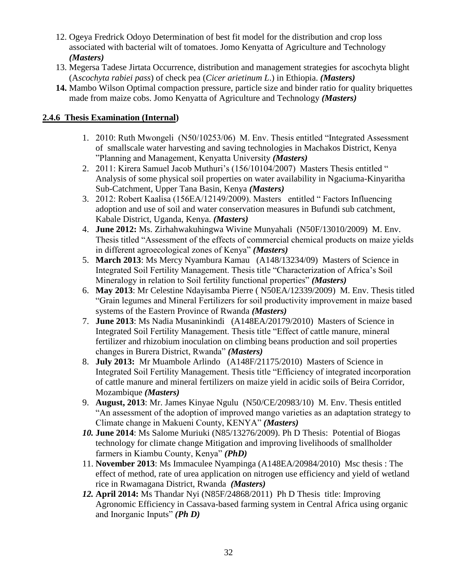- 12. Ogeya Fredrick Odoyo Determination of best fit model for the distribution and crop loss associated with bacterial wilt of tomatoes. Jomo Kenyatta of Agriculture and Technology *(Masters)*
- 13. Megersa Tadese Jirtata Occurrence, distribution and management strategies for ascochyta blight (A*scochyta rabiei pass*) of check pea (*Cicer arietinum L*.) in Ethiopia. *(Masters)*
- **14.** Mambo Wilson Optimal compaction pressure, particle size and binder ratio for quality briquettes made from maize cobs. Jomo Kenyatta of Agriculture and Technology *(Masters)*

### **2.4.6 Thesis Examination (Internal)**

- 1. 2010: Ruth Mwongeli (N50/10253/06) M. Env. Thesis entitled "Integrated Assessment of smallscale water harvesting and saving technologies in Machakos District, Kenya "Planning and Management, Kenyatta University *(Masters)*
- 2. 2011: Kirera Samuel Jacob Muthuri's (156/10104/2007) Masters Thesis entitled " Analysis of some physical soil properties on water availability in Ngaciuma-Kinyaritha Sub-Catchment, Upper Tana Basin, Kenya *(Masters)*
- 3. 2012: Robert Kaalisa (156EA/12149/2009). Masters entitled " Factors Influencing adoption and use of soil and water conservation measures in Bufundi sub catchment, Kabale District, Uganda, Kenya. *(Masters)*
- 4. **June 2012:** Ms. Zirhahwakuhingwa Wivine Munyahali (N50F/13010/2009) M. Env. Thesis titled "Assessment of the effects of commercial chemical products on maize yields in different agroecological zones of Kenya" *(Masters)*
- 5. **March 2013**: Ms Mercy Nyambura Kamau (A148/13234/09) Masters of Science in Integrated Soil Fertility Management. Thesis title "Characterization of Africa's Soil Mineralogy in relation to Soil fertility functional properties" *(Masters)*
- 6. **May 2013**: Mr Celestine Ndayisamba Pierre ( N50EA/12339/2009) M. Env. Thesis titled "Grain legumes and Mineral Fertilizers for soil productivity improvement in maize based systems of the Eastern Province of Rwanda *(Masters)*
- 7. **June 2013**: Ms Nadia Musaninkindi (A148EA/20179/2010) Masters of Science in Integrated Soil Fertility Management. Thesis title "Effect of cattle manure, mineral fertilizer and rhizobium inoculation on climbing beans production and soil properties changes in Burera District, Rwanda" *(Masters)*
- 8. **July 2013:** Mr Muambole Arlindo (A148F/21175/2010) Masters of Science in Integrated Soil Fertility Management. Thesis title "Efficiency of integrated incorporation of cattle manure and mineral fertilizers on maize yield in acidic soils of Beira Corridor, Mozambique *(Masters)*
- 9. **August, 2013**: Mr. James Kinyae Ngulu (N50/CE/20983/10) M. Env. Thesis entitled "An assessment of the adoption of improved mango varieties as an adaptation strategy to Climate change in Makueni County, KENYA" *(Masters)*
- *10.* **June 2014**: Ms Salome Muriuki (N85/13276/2009). Ph D Thesis: Potential of Biogas technology for climate change Mitigation and improving livelihoods of smallholder farmers in Kiambu County, Kenya" *(PhD)*
- 11. **November 2013**: Ms Immaculee Nyampinga (A148EA/20984/2010) Msc thesis : The effect of method, rate of urea application on nitrogen use efficiency and yield of wetland rice in Rwamagana District, Rwanda *(Masters)*
- *12.* **April 2014:** Ms Thandar Nyi (N85F/24868/2011) Ph D Thesis title: Improving Agronomic Efficiency in Cassava-based farming system in Central Africa using organic and Inorganic Inputs" *(Ph D)*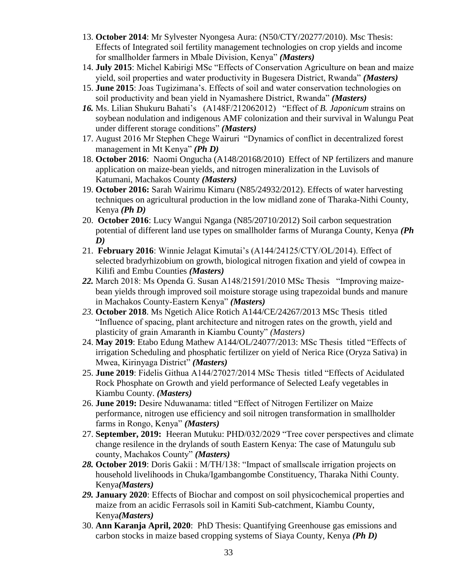- 13. **October 2014**: Mr Sylvester Nyongesa Aura: (N50/CTY/20277/2010). Msc Thesis: Effects of Integrated soil fertility management technologies on crop yields and income for smallholder farmers in Mbale Division, Kenya" *(Masters)*
- 14. **July 2015**: Michel Kabirigi MSc "Effects of Conservation Agriculture on bean and maize yield, soil properties and water productivity in Bugesera District, Rwanda" *(Masters)*
- 15. **June 2015**: Joas Tugizimana's. Effects of soil and water conservation technologies on soil productivity and bean yield in Nyamashere District, Rwanda" *(Masters)*
- *16.* Ms. Lilian Shukuru Bahati's (A148F/212062012) "Effect of *B. Japonicum* strains on soybean nodulation and indigenous AMF colonization and their survival in Walungu Peat under different storage conditions" *(Masters)*
- 17. August 2016 Mr Stephen Chege Wairuri "Dynamics of conflict in decentralized forest management in Mt Kenya" *(Ph D)*
- 18. **October 2016**: Naomi Ongucha (A148/20168/2010) Effect of NP fertilizers and manure application on maize-bean yields, and nitrogen mineralization in the Luvisols of Katumani, Machakos County *(Masters)*
- 19. **October 2016:** Sarah Wairimu Kimaru (N85/24932/2012). Effects of water harvesting techniques on agricultural production in the low midland zone of Tharaka-Nithi County, Kenya *(Ph D)*
- 20. **October 2016**: Lucy Wangui Nganga (N85/20710/2012) Soil carbon sequestration potential of different land use types on smallholder farms of Muranga County, Kenya *(Ph D)*
- 21. **February 2016**: Winnie Jelagat Kimutai's (A144/24125/CTY/OL/2014). Effect of selected bradyrhizobium on growth, biological nitrogen fixation and yield of cowpea in Kilifi and Embu Counties *(Masters)*
- *22.* March 2018: Ms Openda G. Susan A148/21591/2010 MSc Thesis "Improving maizebean yields through improved soil moisture storage using trapezoidal bunds and manure in Machakos County-Eastern Kenya" *(Masters)*
- *23.* **October 2018**. Ms Ngetich Alice Rotich A144/CE/24267/2013 MSc Thesis titled "Influence of spacing, plant architecture and nitrogen rates on the growth, yield and plasticity of grain Amaranth in Kiambu County" *(Masters)*
- 24. **May 2019**: Etabo Edung Mathew A144/OL/24077/2013: MSc Thesis titled "Effects of irrigation Scheduling and phosphatic fertilizer on yield of Nerica Rice (Oryza Sativa) in Mwea, Kirinyaga District" *(Masters)*
- 25. **June 2019**: Fidelis Githua A144/27027/2014 MSc Thesis titled "Effects of Acidulated Rock Phosphate on Growth and yield performance of Selected Leafy vegetables in Kiambu County. *(Masters)*
- 26. **June 2019:** Desire Nduwanama: titled "Effect of Nitrogen Fertilizer on Maize performance, nitrogen use efficiency and soil nitrogen transformation in smallholder farms in Rongo, Kenya" *(Masters)*
- 27. **September, 2019:** Heeran Mutuku: PHD/032/2029 "Tree cover perspectives and climate change resilence in the drylands of south Eastern Kenya: The case of Matungulu sub county, Machakos County" *(Masters)*
- *28.* **October 2019**: Doris Gakii : M/TH/138: "Impact of smallscale irrigation projects on household livelihoods in Chuka/Igambangombe Constituency, Tharaka Nithi County. Kenya*(Masters)*
- *29.* **January 2020**: Effects of Biochar and compost on soil physicochemical properties and maize from an acidic Ferrasols soil in Kamiti Sub-catchment, Kiambu County, Kenya*(Masters)*
- 30. **Ann Karanja April, 2020**: PhD Thesis: Quantifying Greenhouse gas emissions and carbon stocks in maize based cropping systems of Siaya County, Kenya *(Ph D)*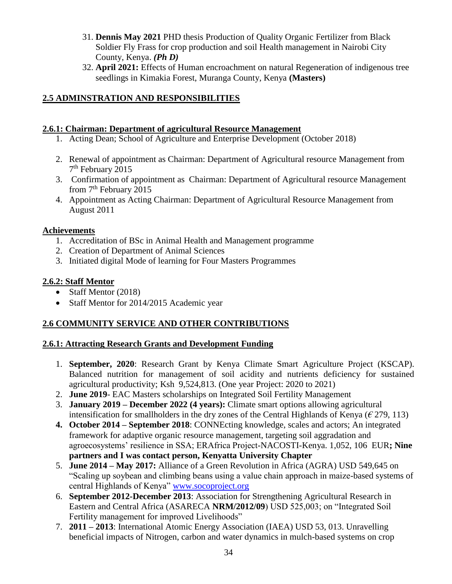- 31. **Dennis May 2021** PHD thesis Production of Quality Organic Fertilizer from Black Soldier Fly Frass for crop production and soil Health management in Nairobi City County, Kenya. *(Ph D)*
- 32. **April 2021:** Effects of Human encroachment on natural Regeneration of indigenous tree seedlings in Kimakia Forest, Muranga County, Kenya **(Masters)**

### **2.5 ADMINSTRATION AND RESPONSIBILITIES**

### **2.6.1: Chairman: Department of agricultural Resource Management**

- 1. Acting Dean; School of Agriculture and Enterprise Development (October 2018)
- 2. Renewal of appointment as Chairman: Department of Agricultural resource Management from 7 th February 2015
- 3. Confirmation of appointment as Chairman: Department of Agricultural resource Management from 7th February 2015
- 4. Appointment as Acting Chairman: Department of Agricultural Resource Management from August 2011

### **Achievements**

- 1. Accreditation of BSc in Animal Health and Management programme
- 2. Creation of Department of Animal Sciences
- 3. Initiated digital Mode of learning for Four Masters Programmes

### **2.6.2: Staff Mentor**

- Staff Mentor (2018)
- Staff Mentor for 2014/2015 Academic year

# **2.6 COMMUNITY SERVICE AND OTHER CONTRIBUTIONS**

### **2.6.1: Attracting Research Grants and Development Funding**

- 1. **September, 2020**: Research Grant by Kenya Climate Smart Agriculture Project (KSCAP). Balanced nutrition for management of soil acidity and nutrients deficiency for sustained agricultural productivity; Ksh 9,524,813. (One year Project: 2020 to 2021)
- 2. **June 2019** EAC Masters scholarships on Integrated Soil Fertility Management
- 3. **January 2019 – December 2022 (4 years):** Climate smart options allowing agricultural intensification for smallholders in the dry zones of the Central Highlands of Kenya ( $\epsilon$  279, 113)
- **4. October 2014 – September 2018**: CONNEcting knowledge, scales and actors; An integrated framework for adaptive organic resource management, targeting soil aggradation and agroecosystems' resilience in SSA; ERAfrica Project-NACOSTI-Kenya. 1,052, 106 EUR**; Nine partners and I was contact person, Kenyatta University Chapter**
- 5. **June 2014 – May 2017:** Alliance of a Green Revolution in Africa (AGRA) USD 549,645 on "Scaling up soybean and climbing beans using a value chain approach in maize-based systems of central Highlands of Kenya" [www.socoproject.org](http://www.socoproject.org/)
- 6. **September 2012-December 2013**: Association for Strengthening Agricultural Research in Eastern and Central Africa (ASARECA **NRM/2012/09**) USD 525,003; on "Integrated Soil Fertility management for improved Livelihoods"
- 7. **2011 – 2013**: International Atomic Energy Association (IAEA) USD 53, 013. Unravelling beneficial impacts of Nitrogen, carbon and water dynamics in mulch-based systems on crop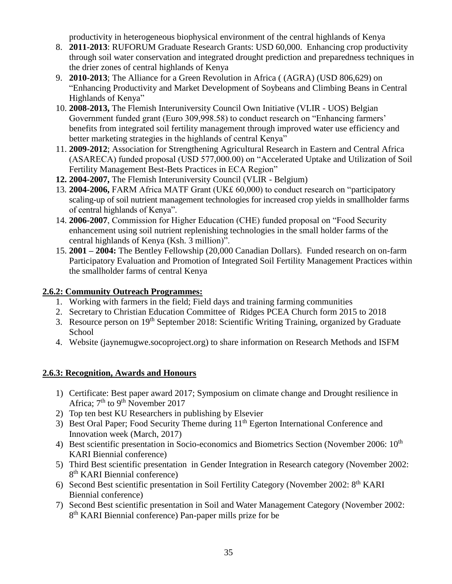productivity in heterogeneous biophysical environment of the central highlands of Kenya

- 8. **2011-2013**: RUFORUM Graduate Research Grants: USD 60,000. Enhancing crop productivity through soil water conservation and integrated drought prediction and preparedness techniques in the drier zones of central highlands of Kenya
- 9. **2010-2013**; The Alliance for a Green Revolution in Africa ( (AGRA) (USD 806,629) on "Enhancing Productivity and Market Development of Soybeans and Climbing Beans in Central Highlands of Kenya"
- 10. **2008-2013,** The Flemish Interuniversity Council Own Initiative (VLIR UOS) Belgian Government funded grant (Euro 309,998.58) to conduct research on "Enhancing farmers' benefits from integrated soil fertility management through improved water use efficiency and better marketing strategies in the highlands of central Kenya"
- 11. **2009-2012**; Association for Strengthening Agricultural Research in Eastern and Central Africa (ASARECA) funded proposal (USD 577,000.00) on "Accelerated Uptake and Utilization of Soil Fertility Management Best-Bets Practices in ECA Region"
- **12. 2004-2007,** The Flemish Interuniversity Council (VLIR Belgium)
- 13. **2004-2006,** FARM Africa MATF Grant (UK£ 60,000) to conduct research on "participatory scaling-up of soil nutrient management technologies for increased crop yields in smallholder farms of central highlands of Kenya".
- 14. **2006-2007**, Commission for Higher Education (CHE) funded proposal on "Food Security enhancement using soil nutrient replenishing technologies in the small holder farms of the central highlands of Kenya (Ksh. 3 million)".
- 15. **2001 – 2004:** The Bentley Fellowship (20,000 Canadian Dollars). Funded research on on-farm Participatory Evaluation and Promotion of Integrated Soil Fertility Management Practices within the smallholder farms of central Kenya

### **2.6.2: Community Outreach Programmes:**

- 1. Working with farmers in the field; Field days and training farming communities
- 2. Secretary to Christian Education Committee of Ridges PCEA Church form 2015 to 2018
- 3. Resource person on 19th September 2018: Scientific Writing Training, organized by Graduate School
- 4. Website (jaynemugwe.socoproject.org) to share information on Research Methods and ISFM

### **2.6.3: Recognition, Awards and Honours**

- 1) Certificate: Best paper award 2017; Symposium on climate change and Drought resilience in Africa; 7<sup>th</sup> to 9<sup>th</sup> November 2017
- 2) Top ten best KU Researchers in publishing by Elsevier
- 3) Best Oral Paper; Food Security Theme during 11<sup>th</sup> Egerton International Conference and Innovation week (March, 2017)
- 4) Best scientific presentation in Socio-economics and Biometrics Section (November 2006: 10<sup>th</sup>) KARI Biennial conference)
- 5) Third Best scientific presentation in Gender Integration in Research category (November 2002: 8<sup>th</sup> KARI Biennial conference)
- 6) Second Best scientific presentation in Soil Fertility Category (November 2002: 8th KARI Biennial conference)
- 7) Second Best scientific presentation in Soil and Water Management Category (November 2002: 8<sup>th</sup> KARI Biennial conference) Pan-paper mills prize for be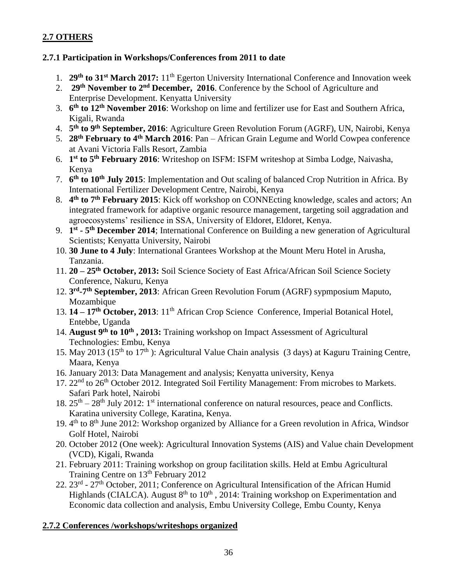### **2.7 OTHERS**

### **2.7.1 Participation in Workshops/Conferences from 2011 to date**

- 1. **29th to 31st March 2017:** 11th Egerton University International Conference and Innovation week
- 2. **29th November to 2nd December, 2016**. Conference by the School of Agriculture and Enterprise Development. Kenyatta University
- 3. **6 th to 12th November 2016**: Workshop on lime and fertilizer use for East and Southern Africa, Kigali, Rwanda
- 4. **5 th to 9th September, 2016**: Agriculture Green Revolution Forum (AGRF), UN, Nairobi, Kenya
- 5. **28th February to 4th March 2016**: Pan African Grain Legume and World Cowpea conference at Avani Victoria Falls Resort, Zambia
- 6. **1 st to 5th February 2016**: Writeshop on ISFM: ISFM writeshop at Simba Lodge, Naivasha, Kenya
- 7. **6 th to 10th July 2015**: Implementation and Out scaling of balanced Crop Nutrition in Africa. By International Fertilizer Development Centre, Nairobi, Kenya
- 8. **4 th to 7th February 2015**: Kick off workshop on CONNEcting knowledge, scales and actors; An integrated framework for adaptive organic resource management, targeting soil aggradation and agroecosystems' resilience in SSA, University of Eldoret, Eldoret, Kenya.
- 9. **1 st - 5 th December 2014**; International Conference on Building a new generation of Agricultural Scientists; Kenyatta University, Nairobi
- 10. **30 June to 4 July**: International Grantees Workshop at the Mount Meru Hotel in Arusha, Tanzania.
- 11. **20 – 25th October, 2013:** Soil Science Society of East Africa/African Soil Science Society Conference, Nakuru, Kenya
- 12. **3 rd -7 th September, 2013**: African Green Revolution Forum (AGRF) sypmposium Maputo, Mozambique
- 13. **14 – 17th October, 2013**: 11th African Crop Science Conference, Imperial Botanical Hotel, Entebbe, Uganda
- 14. **August 9th to 10th , 2013:** Training workshop on Impact Assessment of Agricultural Technologies: Embu, Kenya
- 15. May 2013 (15<sup>th</sup> to 17<sup>th</sup>): Agricultural Value Chain analysis (3 days) at Kaguru Training Centre, Maara, Kenya
- 16. January 2013: Data Management and analysis; Kenyatta university, Kenya
- 17. 22<sup>nd</sup> to 26<sup>th</sup> October 2012. Integrated Soil Fertility Management: From microbes to Markets. Safari Park hotel, Nairobi
- 18.  $25<sup>th</sup> 28<sup>th</sup>$  July 2012: 1<sup>st</sup> international conference on natural resources, peace and Conflicts. Karatina university College, Karatina, Kenya.
- 19. 4<sup>th</sup> to 8<sup>th</sup> June 2012: Workshop organized by Alliance for a Green revolution in Africa, Windsor Golf Hotel, Nairobi
- 20. October 2012 (One week): Agricultural Innovation Systems (AIS) and Value chain Development (VCD), Kigali, Rwanda
- 21. February 2011: Training workshop on group facilitation skills. Held at Embu Agricultural Training Centre on 13<sup>th</sup> February 2012
- 22. 23<sup>rd</sup> 27<sup>th</sup> October, 2011; Conference on Agricultural Intensification of the African Humid Highlands (CIALCA). August  $8<sup>th</sup>$  to  $10<sup>th</sup>$ , 2014: Training workshop on Experimentation and Economic data collection and analysis, Embu University College, Embu County, Kenya

### **2.7.2 Conferences /workshops/writeshops organized**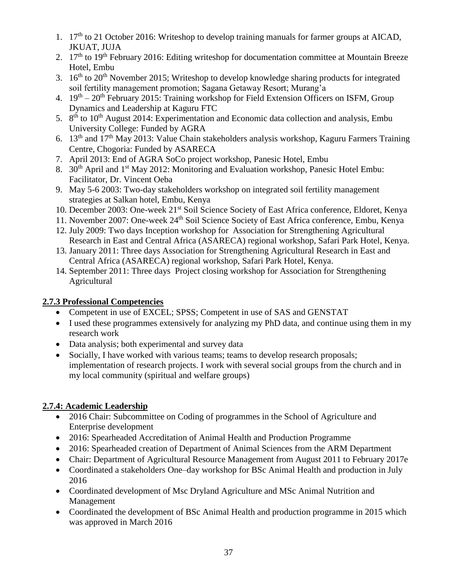- 1. 17th to 21 October 2016: Writeshop to develop training manuals for farmer groups at AICAD, JKUAT, JUJA
- 2. 17<sup>th</sup> to 19<sup>th</sup> February 2016: Editing writeshop for documentation committee at Mountain Breeze Hotel, Embu
- 3.  $16<sup>th</sup>$  to  $20<sup>th</sup>$  November 2015; Writeshop to develop knowledge sharing products for integrated soil fertility management promotion; Sagana Getaway Resort; Murang'a
- 4. 19<sup>th</sup> 20<sup>th</sup> February 2015: Training workshop for Field Extension Officers on ISFM, Group Dynamics and Leadership at Kaguru FTC
- 5. 8<sup>th</sup> to 10<sup>th</sup> August 2014: Experimentation and Economic data collection and analysis, Embu University College: Funded by AGRA
- 6. 13th and 17th May 2013: Value Chain stakeholders analysis workshop, Kaguru Farmers Training Centre, Chogoria: Funded by ASARECA
- 7. April 2013: End of AGRA SoCo project workshop, Panesic Hotel, Embu
- 8. 30<sup>th</sup> April and 1<sup>st</sup> May 2012: Monitoring and Evaluation workshop, Panesic Hotel Embu: Facilitator, Dr. Vincent Oeba
- 9. May 5-6 2003: Two-day stakeholders workshop on integrated soil fertility management strategies at Salkan hotel, Embu, Kenya
- 10. December 2003: One-week 21st Soil Science Society of East Africa conference, Eldoret, Kenya
- 11. November 2007: One-week 24th Soil Science Society of East Africa conference, Embu, Kenya
- 12. July 2009: Two days Inception workshop for Association for Strengthening Agricultural Research in East and Central Africa (ASARECA) regional workshop, Safari Park Hotel, Kenya.
- 13. January 2011: Three days Association for Strengthening Agricultural Research in East and Central Africa (ASARECA) regional workshop, Safari Park Hotel, Kenya.
- 14. September 2011: Three days Project closing workshop for Association for Strengthening Agricultural

# **2.7.3 Professional Competencies**

- Competent in use of EXCEL; SPSS; Competent in use of SAS and GENSTAT
- I used these programmes extensively for analyzing my PhD data, and continue using them in my research work
- Data analysis; both experimental and survey data
- Socially, I have worked with various teams; teams to develop research proposals; implementation of research projects. I work with several social groups from the church and in my local community (spiritual and welfare groups)

# **2.7.4: Academic Leadership**

- 2016 Chair: Subcommittee on Coding of programmes in the School of Agriculture and Enterprise development
- 2016: Spearheaded Accreditation of Animal Health and Production Programme
- 2016: Spearheaded creation of Department of Animal Sciences from the ARM Department
- Chair: Department of Agricultural Resource Management from August 2011 to February 2017e
- Coordinated a stakeholders One–day workshop for BSc Animal Health and production in July 2016
- Coordinated development of Msc Dryland Agriculture and MSc Animal Nutrition and Management
- Coordinated the development of BSc Animal Health and production programme in 2015 which was approved in March 2016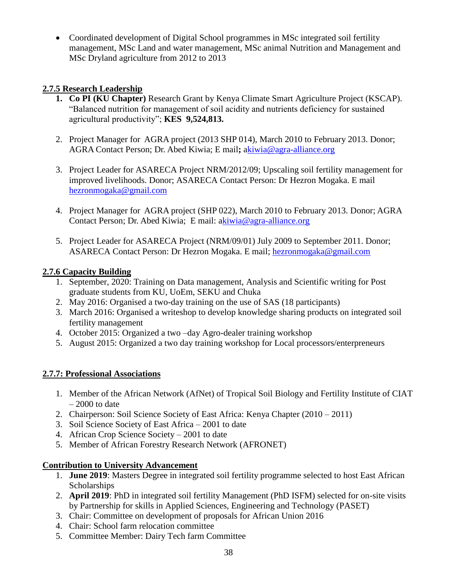• Coordinated development of Digital School programmes in MSc integrated soil fertility management, MSc Land and water management, MSc animal Nutrition and Management and MSc Dryland agriculture from 2012 to 2013

### **2.7.5 Research Leadership**

- **1. Co PI (KU Chapter)** Research Grant by Kenya Climate Smart Agriculture Project (KSCAP). "Balanced nutrition for management of soil acidity and nutrients deficiency for sustained agricultural productivity"; **KES 9,524,813.**
- 2. Project Manager for AGRA project (2013 SHP 014), March 2010 to February 2013. Donor; AGRA Contact Person; Dr. Abed Kiwia; E mail**;** [akiwia@agra-alliance.org](mailto:kiwia@agra-alliance.org)
- 3. Project Leader for ASARECA Project NRM/2012/09; Upscaling soil fertility management for improved livelihoods. Donor; ASARECA Contact Person: Dr Hezron Mogaka. E mail [hezronmogaka@gmail.com](mailto:hezronmogaka@gmail.com)
- 4. Project Manager for AGRA project (SHP 022), March 2010 to February 2013. Donor; AGRA Contact Person; Dr. Abed Kiwia; E mail: [akiwia@agra-alliance.org](mailto:kiwia@agra-alliance.org)
- 5. Project Leader for ASARECA Project (NRM/09/01) July 2009 to September 2011. Donor; ASARECA Contact Person: Dr Hezron Mogaka. E mail; [hezronmogaka@gmail.com](mailto:hezronmogaka@gmail.com)

### **2.7.6 Capacity Building**

- 1. September, 2020: Training on Data management, Analysis and Scientific writing for Post graduate students from KU, UoEm, SEKU and Chuka
- 2. May 2016: Organised a two-day training on the use of SAS (18 participants)
- 3. March 2016: Organised a writeshop to develop knowledge sharing products on integrated soil fertility management
- 4. October 2015: Organized a two –day Agro-dealer training workshop
- 5. August 2015: Organized a two day training workshop for Local processors/enterpreneurs

# **2.7.7: Professional Associations**

- 1. Member of the African Network (AfNet) of Tropical Soil Biology and Fertility Institute of CIAT  $-2000$  to date
- 2. Chairperson: Soil Science Society of East Africa: Kenya Chapter (2010 2011)
- 3. Soil Science Society of East Africa 2001 to date
- 4. African Crop Science Society 2001 to date
- 5. Member of African Forestry Research Network (AFRONET)

# **Contribution to University Advancement**

- 1. **June 2019**: Masters Degree in integrated soil fertility programme selected to host East African **Scholarships**
- 2. **April 2019**: PhD in integrated soil fertility Management (PhD ISFM) selected for on-site visits by Partnership for skills in Applied Sciences, Engineering and Technology (PASET)
- 3. Chair: Committee on development of proposals for African Union 2016
- 4. Chair: School farm relocation committee
- 5. Committee Member: Dairy Tech farm Committee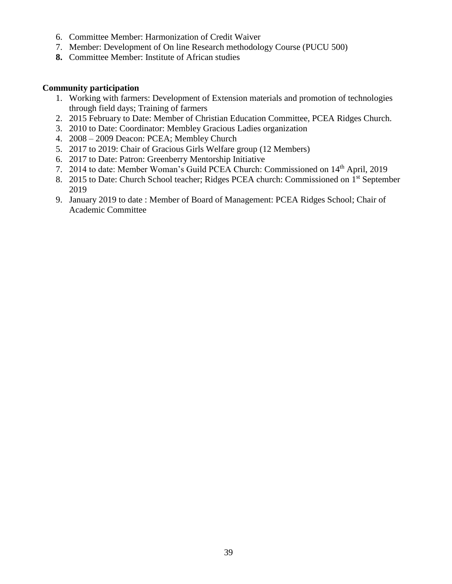- 6. Committee Member: Harmonization of Credit Waiver
- 7. Member: Development of On line Research methodology Course (PUCU 500)
- **8.** Committee Member: Institute of African studies

#### **Community participation**

- 1. Working with farmers: Development of Extension materials and promotion of technologies through field days; Training of farmers
- 2. 2015 February to Date: Member of Christian Education Committee, PCEA Ridges Church.
- 3. 2010 to Date: Coordinator: Membley Gracious Ladies organization
- 4. 2008 2009 Deacon: PCEA; Membley Church
- 5. 2017 to 2019: Chair of Gracious Girls Welfare group (12 Members)
- 6. 2017 to Date: Patron: Greenberry Mentorship Initiative
- 7. 2014 to date: Member Woman's Guild PCEA Church: Commissioned on 14th April, 2019
- 8. 2015 to Date: Church School teacher; Ridges PCEA church: Commissioned on 1<sup>st</sup> September 2019
- 9. January 2019 to date : Member of Board of Management: PCEA Ridges School; Chair of Academic Committee